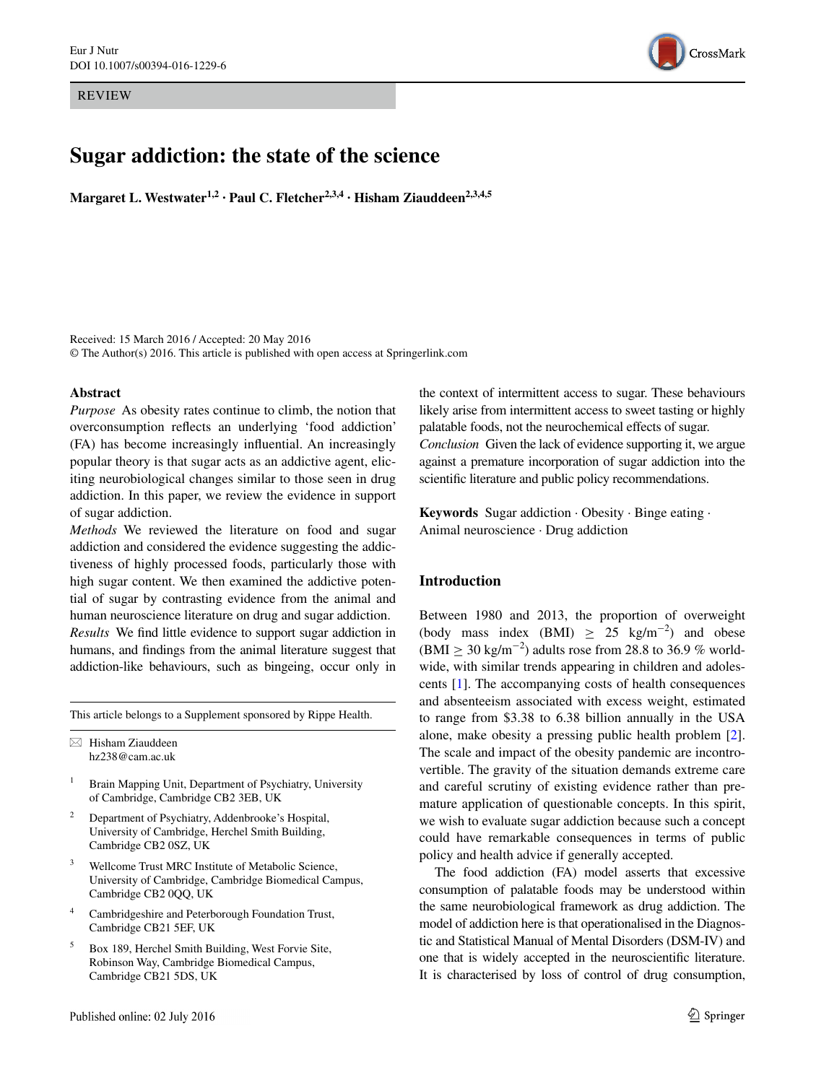### REVIEW



# **Sugar addiction: the state of the science**

**Margaret L. Westwater**<sup>1,2</sup> **· Paul C. Fletcher**<sup>2,3,4</sup> **· Hisham Ziauddeen**<sup>2,3,4,5</sup>

Received: 15 March 2016 / Accepted: 20 May 2016 © The Author(s) 2016. This article is published with open access at Springerlink.com

### **Abstract**

*Purpose* As obesity rates continue to climb, the notion that overconsumption reflects an underlying 'food addiction' (FA) has become increasingly influential. An increasingly popular theory is that sugar acts as an addictive agent, eliciting neurobiological changes similar to those seen in drug addiction. In this paper, we review the evidence in support of sugar addiction.

*Methods* We reviewed the literature on food and sugar addiction and considered the evidence suggesting the addictiveness of highly processed foods, particularly those with high sugar content. We then examined the addictive potential of sugar by contrasting evidence from the animal and human neuroscience literature on drug and sugar addiction.

*Results* We find little evidence to support sugar addiction in humans, and findings from the animal literature suggest that addiction-like behaviours, such as bingeing, occur only in

This article belongs to a Supplement sponsored by Rippe Health.

 $\boxtimes$  Hisham Ziauddeen hz238@cam.ac.uk

- <sup>1</sup> Brain Mapping Unit, Department of Psychiatry, University of Cambridge, Cambridge CB2 3EB, UK
- <sup>2</sup> Department of Psychiatry, Addenbrooke's Hospital, University of Cambridge, Herchel Smith Building, Cambridge CB2 0SZ, UK
- Wellcome Trust MRC Institute of Metabolic Science, University of Cambridge, Cambridge Biomedical Campus, Cambridge CB2 0QQ, UK
- <sup>4</sup> Cambridgeshire and Peterborough Foundation Trust, Cambridge CB21 5EF, UK
- <sup>5</sup> Box 189, Herchel Smith Building, West Forvie Site, Robinson Way, Cambridge Biomedical Campus, Cambridge CB21 5DS, UK

the context of intermittent access to sugar. These behaviours likely arise from intermittent access to sweet tasting or highly palatable foods, not the neurochemical effects of sugar. *Conclusion* Given the lack of evidence supporting it, we argue against a premature incorporation of sugar addiction into the scientific literature and public policy recommendations.

**Keywords** Sugar addiction · Obesity · Binge eating · Animal neuroscience · Drug addiction

# **Introduction**

Between 1980 and 2013, the proportion of overweight (body mass index (BMI)  $\geq 25$  kg/m<sup>-2</sup>) and obese  $(BMI \ge 30 \text{ kg/m}^{-2})$  adults rose from 28.8 to 36.9 % worldwide, with similar trends appearing in children and adolescents [\[1](#page-11-0)]. The accompanying costs of health consequences and absenteeism associated with excess weight, estimated to range from \$3.38 to 6.38 billion annually in the USA alone, make obesity a pressing public health problem [\[2](#page-11-1)]. The scale and impact of the obesity pandemic are incontrovertible. The gravity of the situation demands extreme care and careful scrutiny of existing evidence rather than premature application of questionable concepts. In this spirit, we wish to evaluate sugar addiction because such a concept could have remarkable consequences in terms of public policy and health advice if generally accepted.

The food addiction (FA) model asserts that excessive consumption of palatable foods may be understood within the same neurobiological framework as drug addiction. The model of addiction here is that operationalised in the Diagnostic and Statistical Manual of Mental Disorders (DSM-IV) and one that is widely accepted in the neuroscientific literature. It is characterised by loss of control of drug consumption,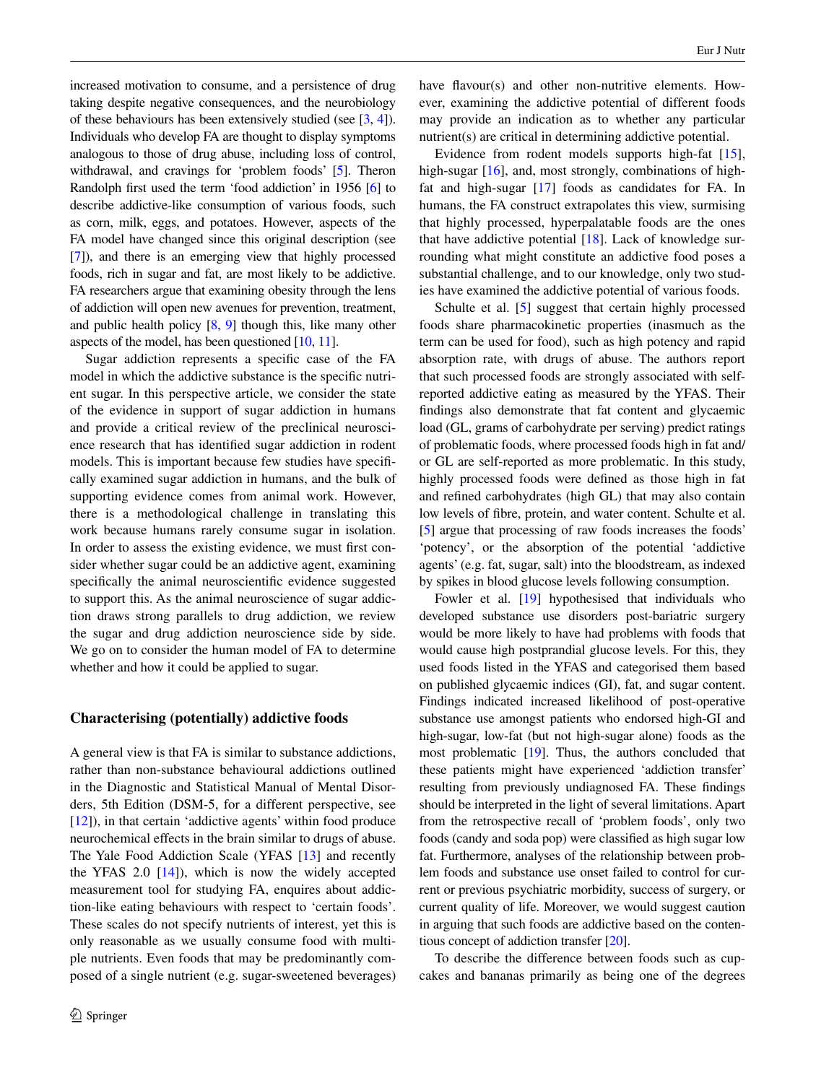increased motivation to consume, and a persistence of drug taking despite negative consequences, and the neurobiology of these behaviours has been extensively studied (see [\[3](#page-11-2), [4](#page-11-3)]). Individuals who develop FA are thought to display symptoms analogous to those of drug abuse, including loss of control, withdrawal, and cravings for 'problem foods' [\[5\]](#page-11-4). Theron Randolph first used the term 'food addiction' in 1956 [\[6\]](#page-11-5) to describe addictive-like consumption of various foods, such as corn, milk, eggs, and potatoes. However, aspects of the FA model have changed since this original description (see [\[7](#page-11-6)]), and there is an emerging view that highly processed foods, rich in sugar and fat, are most likely to be addictive. FA researchers argue that examining obesity through the lens of addiction will open new avenues for prevention, treatment, and public health policy [\[8,](#page-11-7) [9](#page-11-8)] though this, like many other aspects of the model, has been questioned [\[10,](#page-11-9) [11\]](#page-11-10).

Sugar addiction represents a specific case of the FA model in which the addictive substance is the specific nutrient sugar. In this perspective article, we consider the state of the evidence in support of sugar addiction in humans and provide a critical review of the preclinical neuroscience research that has identified sugar addiction in rodent models. This is important because few studies have specifically examined sugar addiction in humans, and the bulk of supporting evidence comes from animal work. However, there is a methodological challenge in translating this work because humans rarely consume sugar in isolation. In order to assess the existing evidence, we must first consider whether sugar could be an addictive agent, examining specifically the animal neuroscientific evidence suggested to support this. As the animal neuroscience of sugar addiction draws strong parallels to drug addiction, we review the sugar and drug addiction neuroscience side by side. We go on to consider the human model of FA to determine whether and how it could be applied to sugar.

### **Characterising (potentially) addictive foods**

A general view is that FA is similar to substance addictions, rather than non-substance behavioural addictions outlined in the Diagnostic and Statistical Manual of Mental Disorders, 5th Edition (DSM-5, for a different perspective, see [\[12](#page-11-11)]), in that certain 'addictive agents' within food produce neurochemical effects in the brain similar to drugs of abuse. The Yale Food Addiction Scale (YFAS [\[13](#page-11-12)] and recently the YFAS 2.0 [[14\]](#page-11-13)), which is now the widely accepted measurement tool for studying FA, enquires about addiction-like eating behaviours with respect to 'certain foods'. These scales do not specify nutrients of interest, yet this is only reasonable as we usually consume food with multiple nutrients. Even foods that may be predominantly composed of a single nutrient (e.g. sugar-sweetened beverages) have flavour(s) and other non-nutritive elements. However, examining the addictive potential of different foods may provide an indication as to whether any particular nutrient(s) are critical in determining addictive potential.

Evidence from rodent models supports high-fat [\[15](#page-11-14)], high-sugar [\[16](#page-11-15)], and, most strongly, combinations of highfat and high-sugar [[17\]](#page-11-16) foods as candidates for FA. In humans, the FA construct extrapolates this view, surmising that highly processed, hyperpalatable foods are the ones that have addictive potential [[18\]](#page-11-17). Lack of knowledge surrounding what might constitute an addictive food poses a substantial challenge, and to our knowledge, only two studies have examined the addictive potential of various foods.

Schulte et al. [[5\]](#page-11-4) suggest that certain highly processed foods share pharmacokinetic properties (inasmuch as the term can be used for food), such as high potency and rapid absorption rate, with drugs of abuse. The authors report that such processed foods are strongly associated with selfreported addictive eating as measured by the YFAS. Their findings also demonstrate that fat content and glycaemic load (GL, grams of carbohydrate per serving) predict ratings of problematic foods, where processed foods high in fat and/ or GL are self-reported as more problematic. In this study, highly processed foods were defined as those high in fat and refined carbohydrates (high GL) that may also contain low levels of fibre, protein, and water content. Schulte et al. [\[5](#page-11-4)] argue that processing of raw foods increases the foods' 'potency', or the absorption of the potential 'addictive agents' (e.g. fat, sugar, salt) into the bloodstream, as indexed by spikes in blood glucose levels following consumption.

Fowler et al. [\[19\]](#page-11-18) hypothesised that individuals who developed substance use disorders post-bariatric surgery would be more likely to have had problems with foods that would cause high postprandial glucose levels. For this, they used foods listed in the YFAS and categorised them based on published glycaemic indices (GI), fat, and sugar content. Findings indicated increased likelihood of post-operative substance use amongst patients who endorsed high-GI and high-sugar, low-fat (but not high-sugar alone) foods as the most problematic [\[19](#page-11-18)]. Thus, the authors concluded that these patients might have experienced 'addiction transfer' resulting from previously undiagnosed FA. These findings should be interpreted in the light of several limitations. Apart from the retrospective recall of 'problem foods', only two foods (candy and soda pop) were classified as high sugar low fat. Furthermore, analyses of the relationship between problem foods and substance use onset failed to control for current or previous psychiatric morbidity, success of surgery, or current quality of life. Moreover, we would suggest caution in arguing that such foods are addictive based on the contentious concept of addiction transfer [\[20\]](#page-11-19).

To describe the difference between foods such as cupcakes and bananas primarily as being one of the degrees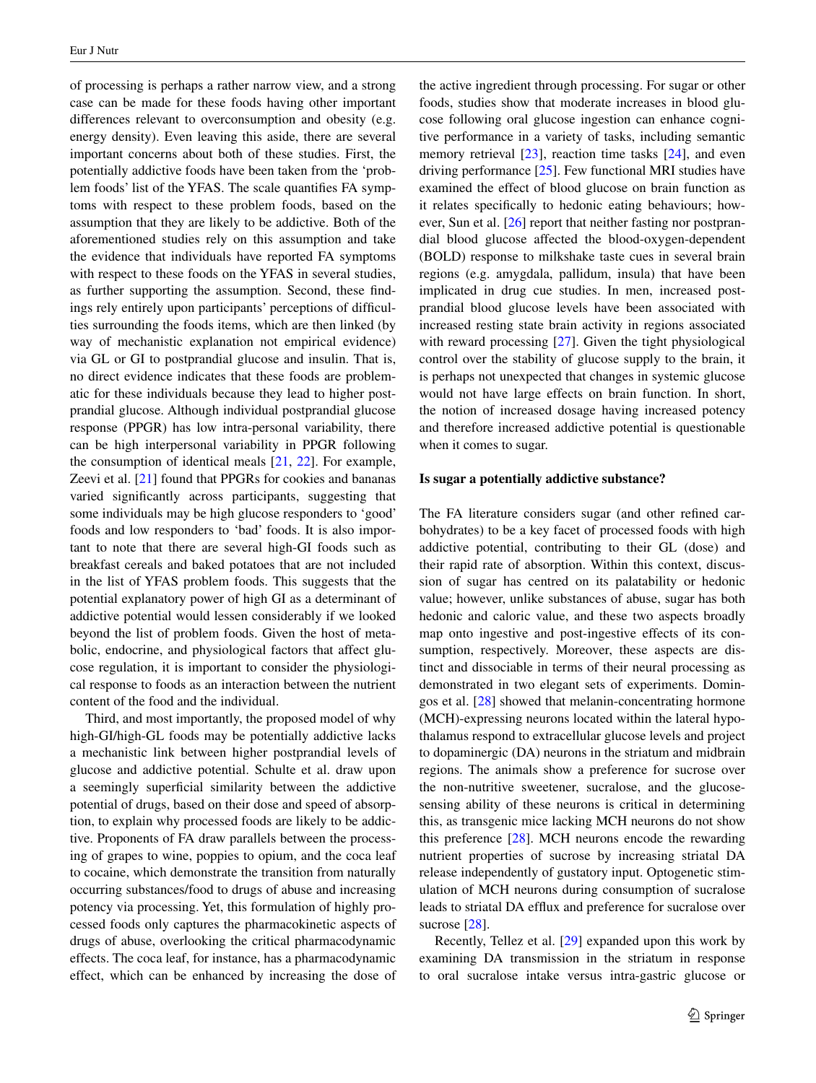of processing is perhaps a rather narrow view, and a strong case can be made for these foods having other important differences relevant to overconsumption and obesity (e.g. energy density). Even leaving this aside, there are several important concerns about both of these studies. First, the potentially addictive foods have been taken from the 'problem foods' list of the YFAS. The scale quantifies FA symptoms with respect to these problem foods, based on the assumption that they are likely to be addictive. Both of the aforementioned studies rely on this assumption and take the evidence that individuals have reported FA symptoms with respect to these foods on the YFAS in several studies, as further supporting the assumption. Second, these findings rely entirely upon participants' perceptions of difficulties surrounding the foods items, which are then linked (by way of mechanistic explanation not empirical evidence) via GL or GI to postprandial glucose and insulin. That is, no direct evidence indicates that these foods are problematic for these individuals because they lead to higher postprandial glucose. Although individual postprandial glucose response (PPGR) has low intra-personal variability, there can be high interpersonal variability in PPGR following the consumption of identical meals  $[21, 22]$  $[21, 22]$  $[21, 22]$  $[21, 22]$ . For example, Zeevi et al. [[21\]](#page-11-20) found that PPGRs for cookies and bananas varied significantly across participants, suggesting that some individuals may be high glucose responders to 'good' foods and low responders to 'bad' foods. It is also important to note that there are several high-GI foods such as breakfast cereals and baked potatoes that are not included in the list of YFAS problem foods. This suggests that the potential explanatory power of high GI as a determinant of addictive potential would lessen considerably if we looked beyond the list of problem foods. Given the host of metabolic, endocrine, and physiological factors that affect glucose regulation, it is important to consider the physiological response to foods as an interaction between the nutrient content of the food and the individual.

Third, and most importantly, the proposed model of why high-GI/high-GL foods may be potentially addictive lacks a mechanistic link between higher postprandial levels of glucose and addictive potential. Schulte et al. draw upon a seemingly superficial similarity between the addictive potential of drugs, based on their dose and speed of absorption, to explain why processed foods are likely to be addictive. Proponents of FA draw parallels between the processing of grapes to wine, poppies to opium, and the coca leaf to cocaine, which demonstrate the transition from naturally occurring substances/food to drugs of abuse and increasing potency via processing. Yet, this formulation of highly processed foods only captures the pharmacokinetic aspects of drugs of abuse, overlooking the critical pharmacodynamic effects. The coca leaf, for instance, has a pharmacodynamic effect, which can be enhanced by increasing the dose of the active ingredient through processing. For sugar or other foods, studies show that moderate increases in blood glucose following oral glucose ingestion can enhance cognitive performance in a variety of tasks, including semantic memory retrieval  $[23]$  $[23]$ , reaction time tasks  $[24]$  $[24]$ , and even driving performance [[25\]](#page-12-1). Few functional MRI studies have examined the effect of blood glucose on brain function as it relates specifically to hedonic eating behaviours; however, Sun et al. [[26\]](#page-12-2) report that neither fasting nor postprandial blood glucose affected the blood-oxygen-dependent (BOLD) response to milkshake taste cues in several brain regions (e.g. amygdala, pallidum, insula) that have been implicated in drug cue studies. In men, increased postprandial blood glucose levels have been associated with increased resting state brain activity in regions associated with reward processing [\[27](#page-12-3)]. Given the tight physiological control over the stability of glucose supply to the brain, it is perhaps not unexpected that changes in systemic glucose would not have large effects on brain function. In short, the notion of increased dosage having increased potency and therefore increased addictive potential is questionable when it comes to sugar.

### **Is sugar a potentially addictive substance?**

The FA literature considers sugar (and other refined carbohydrates) to be a key facet of processed foods with high addictive potential, contributing to their GL (dose) and their rapid rate of absorption. Within this context, discussion of sugar has centred on its palatability or hedonic value; however, unlike substances of abuse, sugar has both hedonic and caloric value, and these two aspects broadly map onto ingestive and post-ingestive effects of its consumption, respectively. Moreover, these aspects are distinct and dissociable in terms of their neural processing as demonstrated in two elegant sets of experiments. Domingos et al. [[28\]](#page-12-4) showed that melanin-concentrating hormone (MCH)-expressing neurons located within the lateral hypothalamus respond to extracellular glucose levels and project to dopaminergic (DA) neurons in the striatum and midbrain regions. The animals show a preference for sucrose over the non-nutritive sweetener, sucralose, and the glucosesensing ability of these neurons is critical in determining this, as transgenic mice lacking MCH neurons do not show this preference [[28\]](#page-12-4). MCH neurons encode the rewarding nutrient properties of sucrose by increasing striatal DA release independently of gustatory input. Optogenetic stimulation of MCH neurons during consumption of sucralose leads to striatal DA efflux and preference for sucralose over sucrose [[28\]](#page-12-4).

Recently, Tellez et al. [[29\]](#page-12-5) expanded upon this work by examining DA transmission in the striatum in response to oral sucralose intake versus intra-gastric glucose or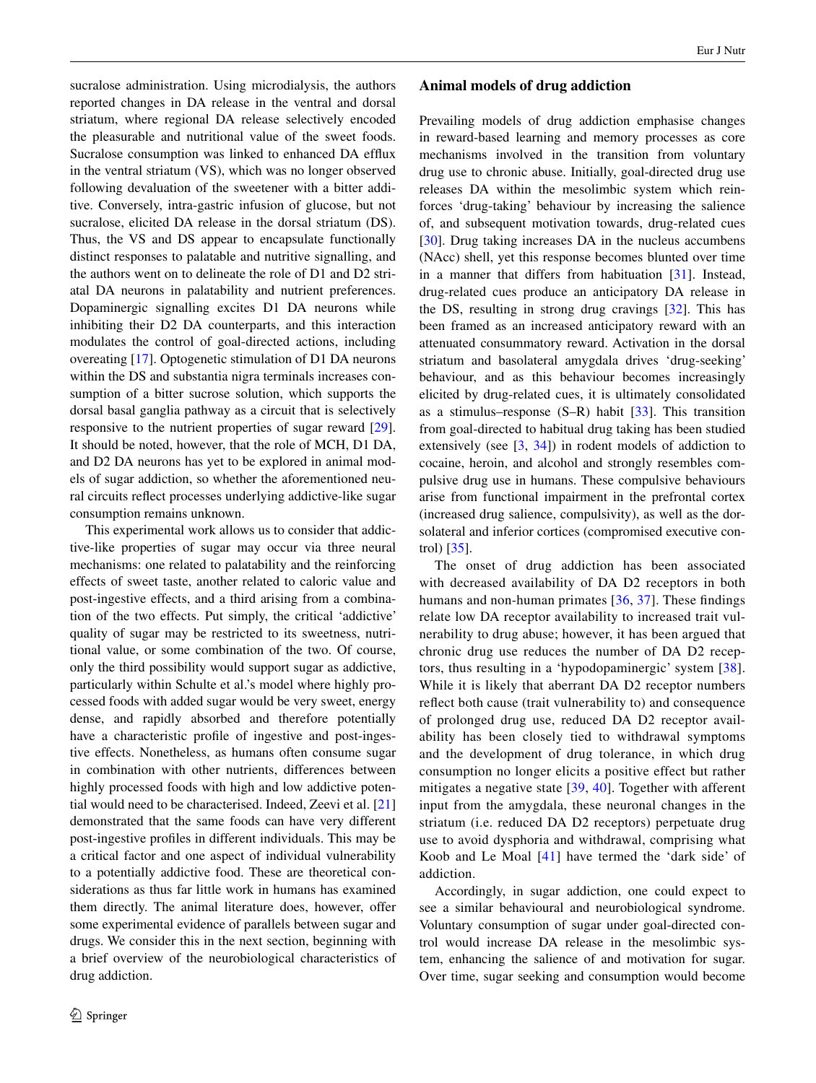sucralose administration. Using microdialysis, the authors reported changes in DA release in the ventral and dorsal striatum, where regional DA release selectively encoded the pleasurable and nutritional value of the sweet foods. Sucralose consumption was linked to enhanced DA efflux in the ventral striatum (VS), which was no longer observed following devaluation of the sweetener with a bitter additive. Conversely, intra-gastric infusion of glucose, but not sucralose, elicited DA release in the dorsal striatum (DS). Thus, the VS and DS appear to encapsulate functionally distinct responses to palatable and nutritive signalling, and the authors went on to delineate the role of D1 and D2 striatal DA neurons in palatability and nutrient preferences. Dopaminergic signalling excites D1 DA neurons while inhibiting their D2 DA counterparts, and this interaction modulates the control of goal-directed actions, including overeating [[17\]](#page-11-16). Optogenetic stimulation of D1 DA neurons within the DS and substantia nigra terminals increases consumption of a bitter sucrose solution, which supports the dorsal basal ganglia pathway as a circuit that is selectively responsive to the nutrient properties of sugar reward [\[29](#page-12-5)]. It should be noted, however, that the role of MCH, D1 DA, and D2 DA neurons has yet to be explored in animal models of sugar addiction, so whether the aforementioned neural circuits reflect processes underlying addictive-like sugar consumption remains unknown.

This experimental work allows us to consider that addictive-like properties of sugar may occur via three neural mechanisms: one related to palatability and the reinforcing effects of sweet taste, another related to caloric value and post-ingestive effects, and a third arising from a combination of the two effects. Put simply, the critical 'addictive' quality of sugar may be restricted to its sweetness, nutritional value, or some combination of the two. Of course, only the third possibility would support sugar as addictive, particularly within Schulte et al.'s model where highly processed foods with added sugar would be very sweet, energy dense, and rapidly absorbed and therefore potentially have a characteristic profile of ingestive and post-ingestive effects. Nonetheless, as humans often consume sugar in combination with other nutrients, differences between highly processed foods with high and low addictive potential would need to be characterised. Indeed, Zeevi et al. [[21\]](#page-11-20) demonstrated that the same foods can have very different post-ingestive profiles in different individuals. This may be a critical factor and one aspect of individual vulnerability to a potentially addictive food. These are theoretical considerations as thus far little work in humans has examined them directly. The animal literature does, however, offer some experimental evidence of parallels between sugar and drugs. We consider this in the next section, beginning with a brief overview of the neurobiological characteristics of drug addiction.

### **Animal models of drug addiction**

Prevailing models of drug addiction emphasise changes in reward-based learning and memory processes as core mechanisms involved in the transition from voluntary drug use to chronic abuse. Initially, goal-directed drug use releases DA within the mesolimbic system which reinforces 'drug-taking' behaviour by increasing the salience of, and subsequent motivation towards, drug-related cues [\[30](#page-12-6)]. Drug taking increases DA in the nucleus accumbens (NAcc) shell, yet this response becomes blunted over time in a manner that differs from habituation [\[31](#page-12-7)]. Instead, drug-related cues produce an anticipatory DA release in the DS, resulting in strong drug cravings [\[32](#page-12-8)]. This has been framed as an increased anticipatory reward with an attenuated consummatory reward. Activation in the dorsal striatum and basolateral amygdala drives 'drug-seeking' behaviour, and as this behaviour becomes increasingly elicited by drug-related cues, it is ultimately consolidated as a stimulus–response (S–R) habit [[33\]](#page-12-9). This transition from goal-directed to habitual drug taking has been studied extensively (see [\[3](#page-11-2), [34](#page-12-10)]) in rodent models of addiction to cocaine, heroin, and alcohol and strongly resembles compulsive drug use in humans. These compulsive behaviours arise from functional impairment in the prefrontal cortex (increased drug salience, compulsivity), as well as the dorsolateral and inferior cortices (compromised executive control) [\[35](#page-12-11)].

The onset of drug addiction has been associated with decreased availability of DA D2 receptors in both humans and non-human primates [\[36,](#page-12-12) [37](#page-12-13)]. These findings relate low DA receptor availability to increased trait vulnerability to drug abuse; however, it has been argued that chronic drug use reduces the number of DA D2 receptors, thus resulting in a 'hypodopaminergic' system [[38](#page-12-14)]. While it is likely that aberrant DA D2 receptor numbers reflect both cause (trait vulnerability to) and consequence of prolonged drug use, reduced DA D2 receptor availability has been closely tied to withdrawal symptoms and the development of drug tolerance, in which drug consumption no longer elicits a positive effect but rather mitigates a negative state [[39](#page-12-15), [40](#page-12-16)]. Together with afferent input from the amygdala, these neuronal changes in the striatum (i.e. reduced DA D2 receptors) perpetuate drug use to avoid dysphoria and withdrawal, comprising what Koob and Le Moal [[41](#page-12-17)] have termed the 'dark side' of addiction.

Accordingly, in sugar addiction, one could expect to see a similar behavioural and neurobiological syndrome. Voluntary consumption of sugar under goal-directed control would increase DA release in the mesolimbic system, enhancing the salience of and motivation for sugar. Over time, sugar seeking and consumption would become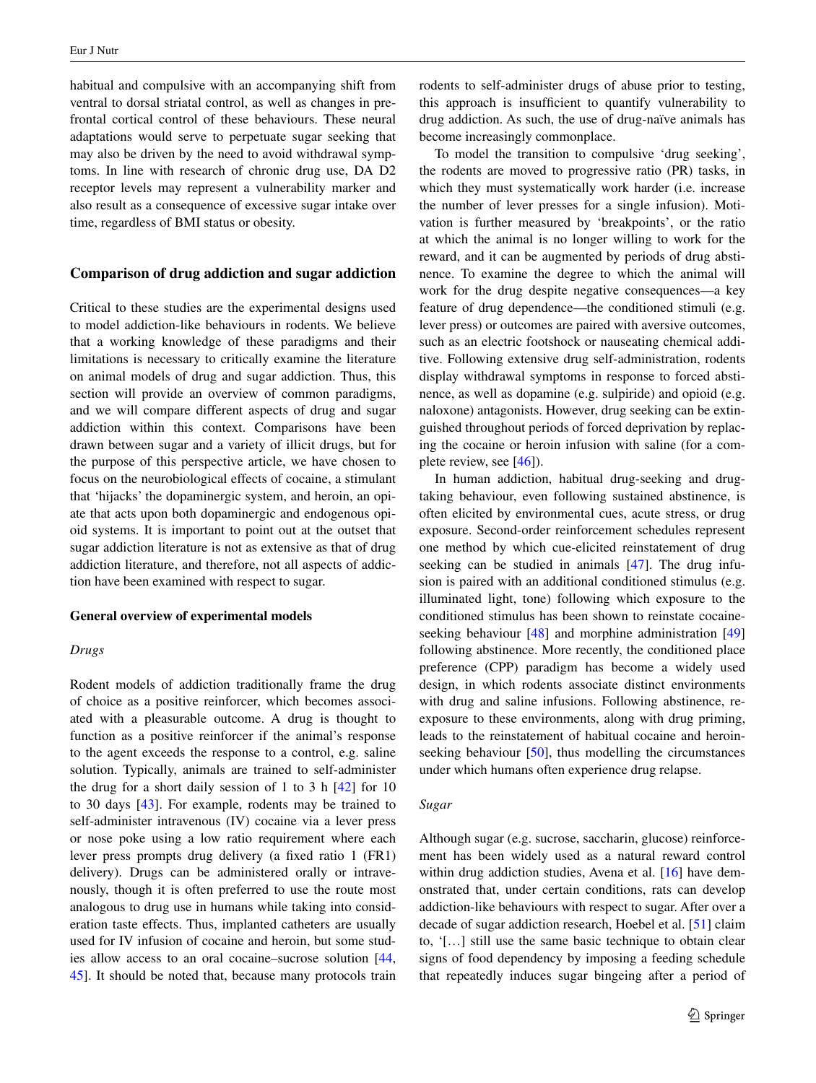habitual and compulsive with an accompanying shift from ventral to dorsal striatal control, as well as changes in prefrontal cortical control of these behaviours. These neural adaptations would serve to perpetuate sugar seeking that may also be driven by the need to avoid withdrawal symptoms. In line with research of chronic drug use, DA D2 receptor levels may represent a vulnerability marker and also result as a consequence of excessive sugar intake over time, regardless of BMI status or obesity.

### **Comparison of drug addiction and sugar addiction**

Critical to these studies are the experimental designs used to model addiction-like behaviours in rodents. We believe that a working knowledge of these paradigms and their limitations is necessary to critically examine the literature on animal models of drug and sugar addiction. Thus, this section will provide an overview of common paradigms, and we will compare different aspects of drug and sugar addiction within this context. Comparisons have been drawn between sugar and a variety of illicit drugs, but for the purpose of this perspective article, we have chosen to focus on the neurobiological effects of cocaine, a stimulant that 'hijacks' the dopaminergic system, and heroin, an opiate that acts upon both dopaminergic and endogenous opioid systems. It is important to point out at the outset that sugar addiction literature is not as extensive as that of drug addiction literature, and therefore, not all aspects of addiction have been examined with respect to sugar.

#### **General overview of experimental models**

### *Drugs*

Rodent models of addiction traditionally frame the drug of choice as a positive reinforcer, which becomes associated with a pleasurable outcome. A drug is thought to function as a positive reinforcer if the animal's response to the agent exceeds the response to a control, e.g. saline solution. Typically, animals are trained to self-administer the drug for a short daily session of 1 to 3 h [[42\]](#page-12-18) for 10 to 30 days [[43\]](#page-12-19). For example, rodents may be trained to self-administer intravenous (IV) cocaine via a lever press or nose poke using a low ratio requirement where each lever press prompts drug delivery (a fixed ratio 1 (FR1) delivery). Drugs can be administered orally or intravenously, though it is often preferred to use the route most analogous to drug use in humans while taking into consideration taste effects. Thus, implanted catheters are usually used for IV infusion of cocaine and heroin, but some studies allow access to an oral cocaine–sucrose solution [[44,](#page-12-20) [45](#page-12-21)]. It should be noted that, because many protocols train rodents to self-administer drugs of abuse prior to testing, this approach is insufficient to quantify vulnerability to drug addiction. As such, the use of drug-naïve animals has become increasingly commonplace.

To model the transition to compulsive 'drug seeking', the rodents are moved to progressive ratio (PR) tasks, in which they must systematically work harder (i.e. increase the number of lever presses for a single infusion). Motivation is further measured by 'breakpoints', or the ratio at which the animal is no longer willing to work for the reward, and it can be augmented by periods of drug abstinence. To examine the degree to which the animal will work for the drug despite negative consequences—a key feature of drug dependence—the conditioned stimuli (e.g. lever press) or outcomes are paired with aversive outcomes, such as an electric footshock or nauseating chemical additive. Following extensive drug self-administration, rodents display withdrawal symptoms in response to forced abstinence, as well as dopamine (e.g. sulpiride) and opioid (e.g. naloxone) antagonists. However, drug seeking can be extinguished throughout periods of forced deprivation by replacing the cocaine or heroin infusion with saline (for a complete review, see [[46\]](#page-12-22)).

In human addiction, habitual drug-seeking and drugtaking behaviour, even following sustained abstinence, is often elicited by environmental cues, acute stress, or drug exposure. Second-order reinforcement schedules represent one method by which cue-elicited reinstatement of drug seeking can be studied in animals [[47\]](#page-12-23). The drug infusion is paired with an additional conditioned stimulus (e.g. illuminated light, tone) following which exposure to the conditioned stimulus has been shown to reinstate cocaine-seeking behaviour [[48\]](#page-12-24) and morphine administration [[49\]](#page-12-25) following abstinence. More recently, the conditioned place preference (CPP) paradigm has become a widely used design, in which rodents associate distinct environments with drug and saline infusions. Following abstinence, reexposure to these environments, along with drug priming, leads to the reinstatement of habitual cocaine and heroin-seeking behaviour [\[50](#page-12-26)], thus modelling the circumstances under which humans often experience drug relapse.

### *Sugar*

Although sugar (e.g. sucrose, saccharin, glucose) reinforcement has been widely used as a natural reward control within drug addiction studies, Avena et al. [\[16](#page-11-15)] have demonstrated that, under certain conditions, rats can develop addiction-like behaviours with respect to sugar. After over a decade of sugar addiction research, Hoebel et al. [\[51](#page-12-27)] claim to, '[…] still use the same basic technique to obtain clear signs of food dependency by imposing a feeding schedule that repeatedly induces sugar bingeing after a period of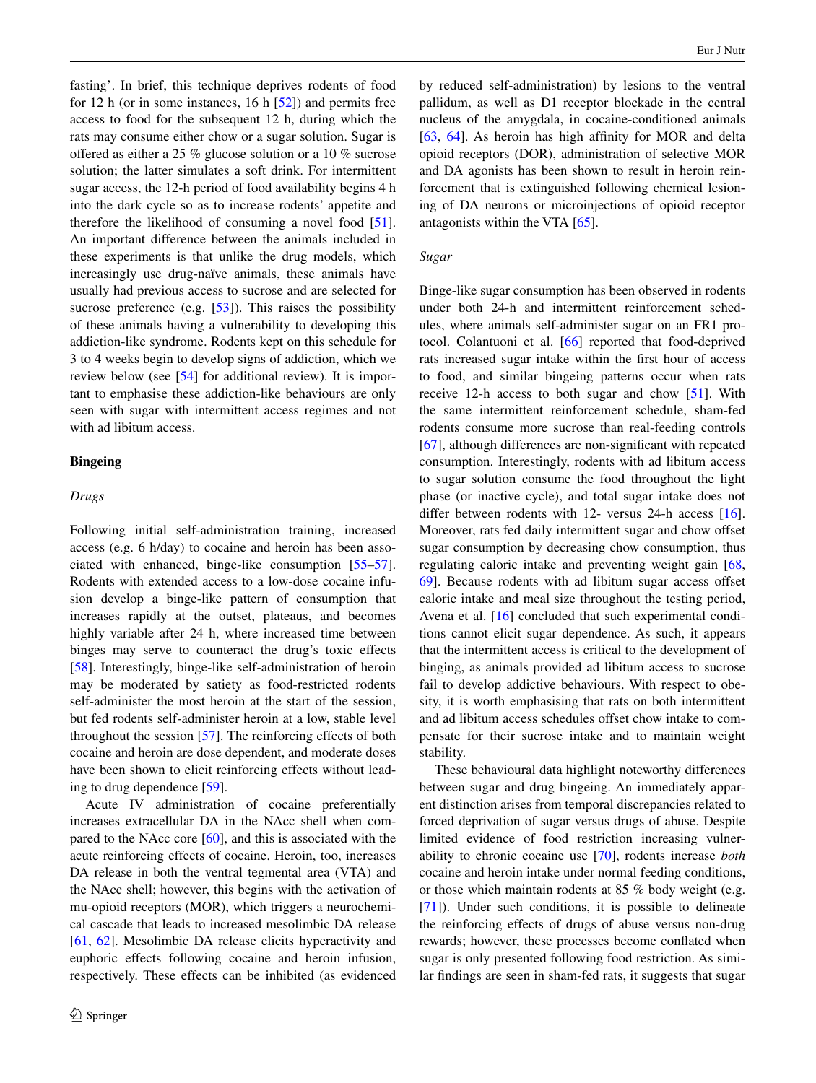fasting'. In brief, this technique deprives rodents of food for 12 h (or in some instances, 16 h  $[52]$  $[52]$ ) and permits free access to food for the subsequent 12 h, during which the rats may consume either chow or a sugar solution. Sugar is offered as either a 25 % glucose solution or a 10 % sucrose solution; the latter simulates a soft drink. For intermittent sugar access, the 12-h period of food availability begins 4 h into the dark cycle so as to increase rodents' appetite and therefore the likelihood of consuming a novel food [\[51](#page-12-27)]. An important difference between the animals included in these experiments is that unlike the drug models, which increasingly use drug-naïve animals, these animals have usually had previous access to sucrose and are selected for sucrose preference (e.g. [[53\]](#page-12-29)). This raises the possibility of these animals having a vulnerability to developing this addiction-like syndrome. Rodents kept on this schedule for 3 to 4 weeks begin to develop signs of addiction, which we review below (see [[54\]](#page-12-30) for additional review). It is important to emphasise these addiction-like behaviours are only seen with sugar with intermittent access regimes and not with ad libitum access.

# **Bingeing**

#### *Drugs*

Following initial self-administration training, increased access (e.g. 6 h/day) to cocaine and heroin has been associated with enhanced, binge-like consumption [\[55](#page-12-31)[–57](#page-12-32)]. Rodents with extended access to a low-dose cocaine infusion develop a binge-like pattern of consumption that increases rapidly at the outset, plateaus, and becomes highly variable after 24 h, where increased time between binges may serve to counteract the drug's toxic effects [\[58](#page-12-33)]. Interestingly, binge-like self-administration of heroin may be moderated by satiety as food-restricted rodents self-administer the most heroin at the start of the session, but fed rodents self-administer heroin at a low, stable level throughout the session [\[57](#page-12-32)]. The reinforcing effects of both cocaine and heroin are dose dependent, and moderate doses have been shown to elicit reinforcing effects without leading to drug dependence [\[59](#page-12-34)].

Acute IV administration of cocaine preferentially increases extracellular DA in the NAcc shell when compared to the NAcc core [\[60](#page-12-35)], and this is associated with the acute reinforcing effects of cocaine. Heroin, too, increases DA release in both the ventral tegmental area (VTA) and the NAcc shell; however, this begins with the activation of mu-opioid receptors (MOR), which triggers a neurochemical cascade that leads to increased mesolimbic DA release [\[61](#page-12-36), [62\]](#page-13-0). Mesolimbic DA release elicits hyperactivity and euphoric effects following cocaine and heroin infusion, respectively. These effects can be inhibited (as evidenced by reduced self-administration) by lesions to the ventral pallidum, as well as D1 receptor blockade in the central nucleus of the amygdala, in cocaine-conditioned animals [\[63](#page-13-1), [64](#page-13-2)]. As heroin has high affinity for MOR and delta opioid receptors (DOR), administration of selective MOR and DA agonists has been shown to result in heroin reinforcement that is extinguished following chemical lesioning of DA neurons or microinjections of opioid receptor antagonists within the VTA [\[65](#page-13-3)].

### *Sugar*

Binge-like sugar consumption has been observed in rodents under both 24-h and intermittent reinforcement schedules, where animals self-administer sugar on an FR1 protocol. Colantuoni et al. [\[66](#page-13-4)] reported that food-deprived rats increased sugar intake within the first hour of access to food, and similar bingeing patterns occur when rats receive 12-h access to both sugar and chow [\[51](#page-12-27)]. With the same intermittent reinforcement schedule, sham-fed rodents consume more sucrose than real-feeding controls [\[67](#page-13-5)], although differences are non-significant with repeated consumption. Interestingly, rodents with ad libitum access to sugar solution consume the food throughout the light phase (or inactive cycle), and total sugar intake does not differ between rodents with 12- versus 24-h access [\[16](#page-11-15)]. Moreover, rats fed daily intermittent sugar and chow offset sugar consumption by decreasing chow consumption, thus regulating caloric intake and preventing weight gain [[68,](#page-13-6) [69](#page-13-7)]. Because rodents with ad libitum sugar access offset caloric intake and meal size throughout the testing period, Avena et al. [[16\]](#page-11-15) concluded that such experimental conditions cannot elicit sugar dependence. As such, it appears that the intermittent access is critical to the development of binging, as animals provided ad libitum access to sucrose fail to develop addictive behaviours. With respect to obesity, it is worth emphasising that rats on both intermittent and ad libitum access schedules offset chow intake to compensate for their sucrose intake and to maintain weight stability.

These behavioural data highlight noteworthy differences between sugar and drug bingeing. An immediately apparent distinction arises from temporal discrepancies related to forced deprivation of sugar versus drugs of abuse. Despite limited evidence of food restriction increasing vulnerability to chronic cocaine use [[70\]](#page-13-8), rodents increase *both* cocaine and heroin intake under normal feeding conditions, or those which maintain rodents at 85 % body weight (e.g. [\[71](#page-13-9)]). Under such conditions, it is possible to delineate the reinforcing effects of drugs of abuse versus non-drug rewards; however, these processes become conflated when sugar is only presented following food restriction. As similar findings are seen in sham-fed rats, it suggests that sugar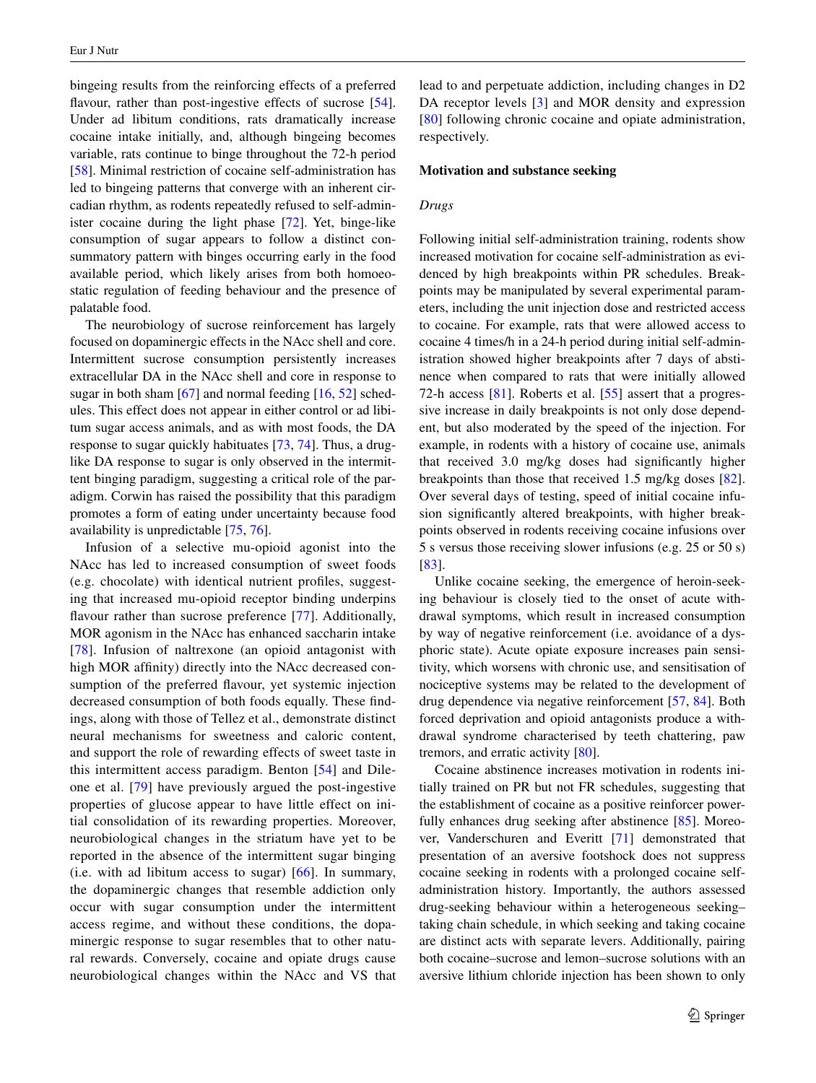bingeing results from the reinforcing effects of a preferred flavour, rather than post-ingestive effects of sucrose [\[54](#page-12-30)]. Under ad libitum conditions, rats dramatically increase cocaine intake initially, and, although bingeing becomes variable, rats continue to binge throughout the 72-h period [\[58](#page-12-33)]. Minimal restriction of cocaine self-administration has led to bingeing patterns that converge with an inherent circadian rhythm, as rodents repeatedly refused to self-administer cocaine during the light phase [[72\]](#page-13-10). Yet, binge-like consumption of sugar appears to follow a distinct consummatory pattern with binges occurring early in the food available period, which likely arises from both homoeostatic regulation of feeding behaviour and the presence of palatable food.

The neurobiology of sucrose reinforcement has largely focused on dopaminergic effects in the NAcc shell and core. Intermittent sucrose consumption persistently increases extracellular DA in the NAcc shell and core in response to sugar in both sham  $[67]$  $[67]$  and normal feeding  $[16, 52]$  $[16, 52]$  $[16, 52]$  $[16, 52]$  schedules. This effect does not appear in either control or ad libitum sugar access animals, and as with most foods, the DA response to sugar quickly habituates [\[73](#page-13-11), [74](#page-13-12)]. Thus, a druglike DA response to sugar is only observed in the intermittent binging paradigm, suggesting a critical role of the paradigm. Corwin has raised the possibility that this paradigm promotes a form of eating under uncertainty because food availability is unpredictable [[75,](#page-13-13) [76\]](#page-13-14).

Infusion of a selective mu-opioid agonist into the NAcc has led to increased consumption of sweet foods (e.g. chocolate) with identical nutrient profiles, suggesting that increased mu-opioid receptor binding underpins flavour rather than sucrose preference [\[77](#page-13-15)]. Additionally, MOR agonism in the NAcc has enhanced saccharin intake [\[78\]](#page-13-16). Infusion of naltrexone (an opioid antagonist with high MOR affinity) directly into the NAcc decreased consumption of the preferred flavour, yet systemic injection decreased consumption of both foods equally. These findings, along with those of Tellez et al., demonstrate distinct neural mechanisms for sweetness and caloric content, and support the role of rewarding effects of sweet taste in this intermittent access paradigm. Benton [\[54\]](#page-12-30) and Dileone et al. [[79](#page-13-17)] have previously argued the post-ingestive properties of glucose appear to have little effect on initial consolidation of its rewarding properties. Moreover, neurobiological changes in the striatum have yet to be reported in the absence of the intermittent sugar binging (i.e. with ad libitum access to sugar)  $[66]$ . In summary, the dopaminergic changes that resemble addiction only occur with sugar consumption under the intermittent access regime, and without these conditions, the dopaminergic response to sugar resembles that to other natural rewards. Conversely, cocaine and opiate drugs cause neurobiological changes within the NAcc and VS that lead to and perpetuate addiction, including changes in D2 DA receptor levels [[3\]](#page-11-2) and MOR density and expression [[80\]](#page-13-18) following chronic cocaine and opiate administration, respectively.

# **Motivation and substance seeking**

# *Drugs*

Following initial self-administration training, rodents show increased motivation for cocaine self-administration as evidenced by high breakpoints within PR schedules. Breakpoints may be manipulated by several experimental parameters, including the unit injection dose and restricted access to cocaine. For example, rats that were allowed access to cocaine 4 times/h in a 24-h period during initial self-administration showed higher breakpoints after 7 days of abstinence when compared to rats that were initially allowed 72-h access [\[81](#page-13-19)]. Roberts et al. [\[55](#page-12-31)] assert that a progressive increase in daily breakpoints is not only dose dependent, but also moderated by the speed of the injection. For example, in rodents with a history of cocaine use, animals that received 3.0 mg/kg doses had significantly higher breakpoints than those that received 1.5 mg/kg doses [\[82](#page-13-20)]. Over several days of testing, speed of initial cocaine infusion significantly altered breakpoints, with higher breakpoints observed in rodents receiving cocaine infusions over 5 s versus those receiving slower infusions (e.g. 25 or 50 s) [\[83](#page-13-21)].

Unlike cocaine seeking, the emergence of heroin-seeking behaviour is closely tied to the onset of acute withdrawal symptoms, which result in increased consumption by way of negative reinforcement (i.e. avoidance of a dysphoric state). Acute opiate exposure increases pain sensitivity, which worsens with chronic use, and sensitisation of nociceptive systems may be related to the development of drug dependence via negative reinforcement [[57,](#page-12-32) [84](#page-13-22)]. Both forced deprivation and opioid antagonists produce a withdrawal syndrome characterised by teeth chattering, paw tremors, and erratic activity [\[80](#page-13-18)].

Cocaine abstinence increases motivation in rodents initially trained on PR but not FR schedules, suggesting that the establishment of cocaine as a positive reinforcer power-fully enhances drug seeking after abstinence [\[85](#page-13-23)]. Moreover, Vanderschuren and Everitt [[71\]](#page-13-9) demonstrated that presentation of an aversive footshock does not suppress cocaine seeking in rodents with a prolonged cocaine selfadministration history. Importantly, the authors assessed drug-seeking behaviour within a heterogeneous seeking– taking chain schedule, in which seeking and taking cocaine are distinct acts with separate levers. Additionally, pairing both cocaine–sucrose and lemon–sucrose solutions with an aversive lithium chloride injection has been shown to only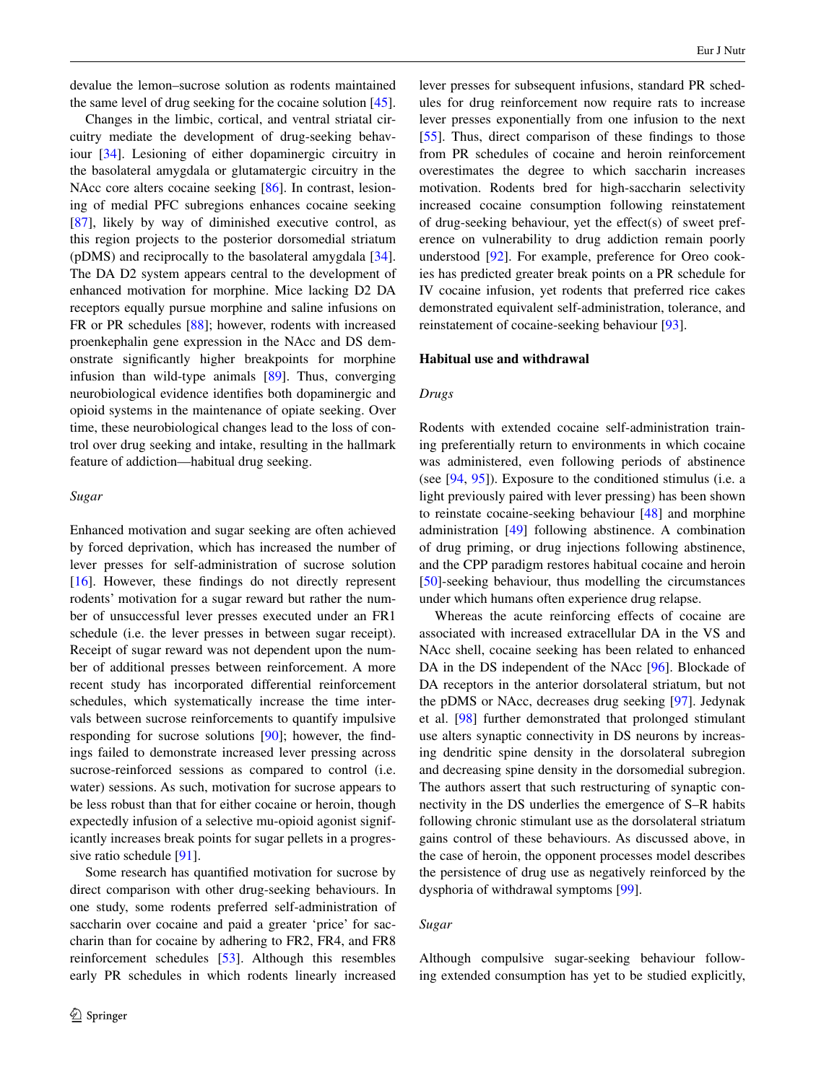devalue the lemon–sucrose solution as rodents maintained the same level of drug seeking for the cocaine solution [\[45](#page-12-21)].

Changes in the limbic, cortical, and ventral striatal circuitry mediate the development of drug-seeking behaviour [[34\]](#page-12-10). Lesioning of either dopaminergic circuitry in the basolateral amygdala or glutamatergic circuitry in the NAcc core alters cocaine seeking [[86\]](#page-13-24). In contrast, lesioning of medial PFC subregions enhances cocaine seeking [\[87](#page-13-25)], likely by way of diminished executive control, as this region projects to the posterior dorsomedial striatum (pDMS) and reciprocally to the basolateral amygdala [\[34](#page-12-10)]. The DA D2 system appears central to the development of enhanced motivation for morphine. Mice lacking D2 DA receptors equally pursue morphine and saline infusions on FR or PR schedules [\[88](#page-13-26)]; however, rodents with increased proenkephalin gene expression in the NAcc and DS demonstrate significantly higher breakpoints for morphine infusion than wild-type animals [[89\]](#page-13-27). Thus, converging neurobiological evidence identifies both dopaminergic and opioid systems in the maintenance of opiate seeking. Over time, these neurobiological changes lead to the loss of control over drug seeking and intake, resulting in the hallmark feature of addiction—habitual drug seeking.

#### *Sugar*

Enhanced motivation and sugar seeking are often achieved by forced deprivation, which has increased the number of lever presses for self-administration of sucrose solution [\[16](#page-11-15)]. However, these findings do not directly represent rodents' motivation for a sugar reward but rather the number of unsuccessful lever presses executed under an FR1 schedule (i.e. the lever presses in between sugar receipt). Receipt of sugar reward was not dependent upon the number of additional presses between reinforcement. A more recent study has incorporated differential reinforcement schedules, which systematically increase the time intervals between sucrose reinforcements to quantify impulsive responding for sucrose solutions [\[90](#page-13-28)]; however, the findings failed to demonstrate increased lever pressing across sucrose-reinforced sessions as compared to control (i.e. water) sessions. As such, motivation for sucrose appears to be less robust than that for either cocaine or heroin, though expectedly infusion of a selective mu-opioid agonist significantly increases break points for sugar pellets in a progressive ratio schedule [[91\]](#page-13-29).

Some research has quantified motivation for sucrose by direct comparison with other drug-seeking behaviours. In one study, some rodents preferred self-administration of saccharin over cocaine and paid a greater 'price' for saccharin than for cocaine by adhering to FR2, FR4, and FR8 reinforcement schedules [\[53](#page-12-29)]. Although this resembles early PR schedules in which rodents linearly increased lever presses for subsequent infusions, standard PR schedules for drug reinforcement now require rats to increase lever presses exponentially from one infusion to the next [\[55](#page-12-31)]. Thus, direct comparison of these findings to those from PR schedules of cocaine and heroin reinforcement overestimates the degree to which saccharin increases motivation. Rodents bred for high-saccharin selectivity increased cocaine consumption following reinstatement of drug-seeking behaviour, yet the effect(s) of sweet preference on vulnerability to drug addiction remain poorly understood [[92\]](#page-13-30). For example, preference for Oreo cookies has predicted greater break points on a PR schedule for IV cocaine infusion, yet rodents that preferred rice cakes demonstrated equivalent self-administration, tolerance, and reinstatement of cocaine-seeking behaviour [[93\]](#page-13-31).

### **Habitual use and withdrawal**

### *Drugs*

Rodents with extended cocaine self-administration training preferentially return to environments in which cocaine was administered, even following periods of abstinence (see [[94,](#page-13-32) [95](#page-13-33)]). Exposure to the conditioned stimulus (i.e. a light previously paired with lever pressing) has been shown to reinstate cocaine-seeking behaviour [[48\]](#page-12-24) and morphine administration [[49\]](#page-12-25) following abstinence. A combination of drug priming, or drug injections following abstinence, and the CPP paradigm restores habitual cocaine and heroin [\[50](#page-12-26)]-seeking behaviour, thus modelling the circumstances under which humans often experience drug relapse.

Whereas the acute reinforcing effects of cocaine are associated with increased extracellular DA in the VS and NAcc shell, cocaine seeking has been related to enhanced DA in the DS independent of the NAcc [[96\]](#page-14-0). Blockade of DA receptors in the anterior dorsolateral striatum, but not the pDMS or NAcc, decreases drug seeking [\[97](#page-14-1)]. Jedynak et al. [\[98](#page-14-2)] further demonstrated that prolonged stimulant use alters synaptic connectivity in DS neurons by increasing dendritic spine density in the dorsolateral subregion and decreasing spine density in the dorsomedial subregion. The authors assert that such restructuring of synaptic connectivity in the DS underlies the emergence of S–R habits following chronic stimulant use as the dorsolateral striatum gains control of these behaviours. As discussed above, in the case of heroin, the opponent processes model describes the persistence of drug use as negatively reinforced by the dysphoria of withdrawal symptoms [\[99](#page-14-3)].

# *Sugar*

Although compulsive sugar-seeking behaviour following extended consumption has yet to be studied explicitly,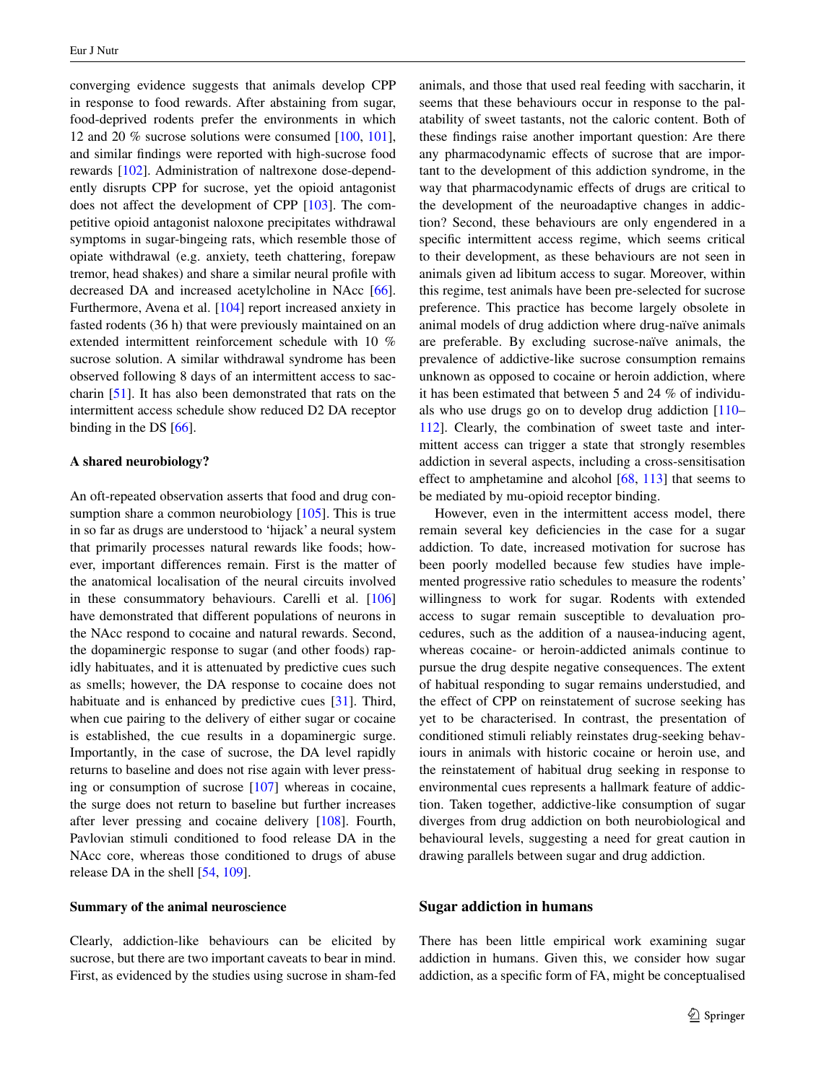converging evidence suggests that animals develop CPP in response to food rewards. After abstaining from sugar, food-deprived rodents prefer the environments in which 12 and 20 % sucrose solutions were consumed [[100,](#page-14-4) [101](#page-14-5)], and similar findings were reported with high-sucrose food rewards [\[102](#page-14-6)]. Administration of naltrexone dose-dependently disrupts CPP for sucrose, yet the opioid antagonist does not affect the development of CPP [[103\]](#page-14-7). The competitive opioid antagonist naloxone precipitates withdrawal symptoms in sugar-bingeing rats, which resemble those of opiate withdrawal (e.g. anxiety, teeth chattering, forepaw tremor, head shakes) and share a similar neural profile with decreased DA and increased acetylcholine in NAcc [\[66](#page-13-4)]. Furthermore, Avena et al. [\[104](#page-14-8)] report increased anxiety in fasted rodents (36 h) that were previously maintained on an extended intermittent reinforcement schedule with 10 % sucrose solution. A similar withdrawal syndrome has been observed following 8 days of an intermittent access to saccharin [[51\]](#page-12-27). It has also been demonstrated that rats on the intermittent access schedule show reduced D2 DA receptor binding in the DS [[66\]](#page-13-4).

### **A shared neurobiology?**

An oft-repeated observation asserts that food and drug con-sumption share a common neurobiology [[105\]](#page-14-9). This is true in so far as drugs are understood to 'hijack' a neural system that primarily processes natural rewards like foods; however, important differences remain. First is the matter of the anatomical localisation of the neural circuits involved in these consummatory behaviours. Carelli et al. [[106\]](#page-14-10) have demonstrated that different populations of neurons in the NAcc respond to cocaine and natural rewards. Second, the dopaminergic response to sugar (and other foods) rapidly habituates, and it is attenuated by predictive cues such as smells; however, the DA response to cocaine does not habituate and is enhanced by predictive cues [[31\]](#page-12-7). Third, when cue pairing to the delivery of either sugar or cocaine is established, the cue results in a dopaminergic surge. Importantly, in the case of sucrose, the DA level rapidly returns to baseline and does not rise again with lever pressing or consumption of sucrose [\[107](#page-14-11)] whereas in cocaine, the surge does not return to baseline but further increases after lever pressing and cocaine delivery [\[108](#page-14-12)]. Fourth, Pavlovian stimuli conditioned to food release DA in the NAcc core, whereas those conditioned to drugs of abuse release DA in the shell [[54,](#page-12-30) [109\]](#page-14-13).

### **Summary of the animal neuroscience**

Clearly, addiction-like behaviours can be elicited by sucrose, but there are two important caveats to bear in mind. First, as evidenced by the studies using sucrose in sham-fed animals, and those that used real feeding with saccharin, it seems that these behaviours occur in response to the palatability of sweet tastants, not the caloric content. Both of these findings raise another important question: Are there any pharmacodynamic effects of sucrose that are important to the development of this addiction syndrome, in the way that pharmacodynamic effects of drugs are critical to the development of the neuroadaptive changes in addiction? Second, these behaviours are only engendered in a specific intermittent access regime, which seems critical to their development, as these behaviours are not seen in animals given ad libitum access to sugar. Moreover, within this regime, test animals have been pre-selected for sucrose preference. This practice has become largely obsolete in animal models of drug addiction where drug-naïve animals are preferable. By excluding sucrose-naïve animals, the prevalence of addictive-like sucrose consumption remains unknown as opposed to cocaine or heroin addiction, where it has been estimated that between 5 and 24 % of individuals who use drugs go on to develop drug addiction [\[110](#page-14-14)– [112](#page-14-15)]. Clearly, the combination of sweet taste and intermittent access can trigger a state that strongly resembles addiction in several aspects, including a cross-sensitisation effect to amphetamine and alcohol [\[68](#page-13-6), [113](#page-14-16)] that seems to be mediated by mu-opioid receptor binding.

However, even in the intermittent access model, there remain several key deficiencies in the case for a sugar addiction. To date, increased motivation for sucrose has been poorly modelled because few studies have implemented progressive ratio schedules to measure the rodents' willingness to work for sugar. Rodents with extended access to sugar remain susceptible to devaluation procedures, such as the addition of a nausea-inducing agent, whereas cocaine- or heroin-addicted animals continue to pursue the drug despite negative consequences. The extent of habitual responding to sugar remains understudied, and the effect of CPP on reinstatement of sucrose seeking has yet to be characterised. In contrast, the presentation of conditioned stimuli reliably reinstates drug-seeking behaviours in animals with historic cocaine or heroin use, and the reinstatement of habitual drug seeking in response to environmental cues represents a hallmark feature of addiction. Taken together, addictive-like consumption of sugar diverges from drug addiction on both neurobiological and behavioural levels, suggesting a need for great caution in drawing parallels between sugar and drug addiction.

### **Sugar addiction in humans**

There has been little empirical work examining sugar addiction in humans. Given this, we consider how sugar addiction, as a specific form of FA, might be conceptualised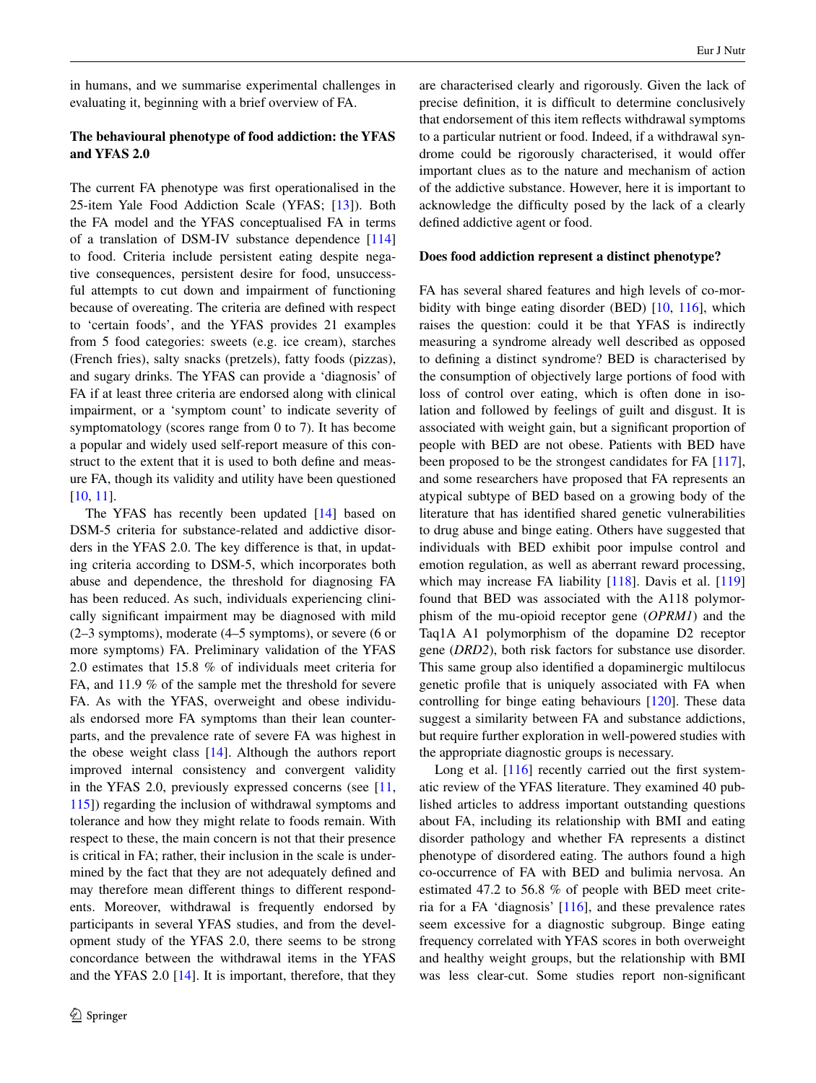in humans, and we summarise experimental challenges in evaluating it, beginning with a brief overview of FA.

# **The behavioural phenotype of food addiction: the YFAS and YFAS 2.0**

The current FA phenotype was first operationalised in the 25-item Yale Food Addiction Scale (YFAS; [\[13](#page-11-12)]). Both the FA model and the YFAS conceptualised FA in terms of a translation of DSM-IV substance dependence [[114\]](#page-14-17) to food. Criteria include persistent eating despite negative consequences, persistent desire for food, unsuccessful attempts to cut down and impairment of functioning because of overeating. The criteria are defined with respect to 'certain foods', and the YFAS provides 21 examples from 5 food categories: sweets (e.g. ice cream), starches (French fries), salty snacks (pretzels), fatty foods (pizzas), and sugary drinks. The YFAS can provide a 'diagnosis' of FA if at least three criteria are endorsed along with clinical impairment, or a 'symptom count' to indicate severity of symptomatology (scores range from 0 to 7). It has become a popular and widely used self-report measure of this construct to the extent that it is used to both define and measure FA, though its validity and utility have been questioned [\[10](#page-11-9), [11](#page-11-10)].

The YFAS has recently been updated [[14\]](#page-11-13) based on DSM-5 criteria for substance-related and addictive disorders in the YFAS 2.0. The key difference is that, in updating criteria according to DSM-5, which incorporates both abuse and dependence, the threshold for diagnosing FA has been reduced. As such, individuals experiencing clinically significant impairment may be diagnosed with mild (2–3 symptoms), moderate (4–5 symptoms), or severe (6 or more symptoms) FA. Preliminary validation of the YFAS 2.0 estimates that 15.8 % of individuals meet criteria for FA, and 11.9 % of the sample met the threshold for severe FA. As with the YFAS, overweight and obese individuals endorsed more FA symptoms than their lean counterparts, and the prevalence rate of severe FA was highest in the obese weight class [\[14](#page-11-13)]. Although the authors report improved internal consistency and convergent validity in the YFAS 2.0, previously expressed concerns (see [[11,](#page-11-10) [115](#page-14-18)]) regarding the inclusion of withdrawal symptoms and tolerance and how they might relate to foods remain. With respect to these, the main concern is not that their presence is critical in FA; rather, their inclusion in the scale is undermined by the fact that they are not adequately defined and may therefore mean different things to different respondents. Moreover, withdrawal is frequently endorsed by participants in several YFAS studies, and from the development study of the YFAS 2.0, there seems to be strong concordance between the withdrawal items in the YFAS and the YFAS 2.0 [[14\]](#page-11-13). It is important, therefore, that they are characterised clearly and rigorously. Given the lack of precise definition, it is difficult to determine conclusively that endorsement of this item reflects withdrawal symptoms to a particular nutrient or food. Indeed, if a withdrawal syndrome could be rigorously characterised, it would offer important clues as to the nature and mechanism of action of the addictive substance. However, here it is important to acknowledge the difficulty posed by the lack of a clearly defined addictive agent or food.

### **Does food addiction represent a distinct phenotype?**

FA has several shared features and high levels of co-mor-bidity with binge eating disorder (BED) [\[10](#page-11-9), [116](#page-14-19)], which raises the question: could it be that YFAS is indirectly measuring a syndrome already well described as opposed to defining a distinct syndrome? BED is characterised by the consumption of objectively large portions of food with loss of control over eating, which is often done in isolation and followed by feelings of guilt and disgust. It is associated with weight gain, but a significant proportion of people with BED are not obese. Patients with BED have been proposed to be the strongest candidates for FA [\[117](#page-14-20)], and some researchers have proposed that FA represents an atypical subtype of BED based on a growing body of the literature that has identified shared genetic vulnerabilities to drug abuse and binge eating. Others have suggested that individuals with BED exhibit poor impulse control and emotion regulation, as well as aberrant reward processing, which may increase FA liability [\[118](#page-14-21)]. Davis et al. [[119\]](#page-14-22) found that BED was associated with the A118 polymorphism of the mu-opioid receptor gene (*OPRM1*) and the Taq1A A1 polymorphism of the dopamine D2 receptor gene (*DRD2*), both risk factors for substance use disorder. This same group also identified a dopaminergic multilocus genetic profile that is uniquely associated with FA when controlling for binge eating behaviours [\[120](#page-14-23)]. These data suggest a similarity between FA and substance addictions, but require further exploration in well-powered studies with the appropriate diagnostic groups is necessary.

Long et al.  $[116]$  $[116]$  recently carried out the first systematic review of the YFAS literature. They examined 40 published articles to address important outstanding questions about FA, including its relationship with BMI and eating disorder pathology and whether FA represents a distinct phenotype of disordered eating. The authors found a high co-occurrence of FA with BED and bulimia nervosa. An estimated 47.2 to 56.8 % of people with BED meet criteria for a FA 'diagnosis' [\[116](#page-14-19)], and these prevalence rates seem excessive for a diagnostic subgroup. Binge eating frequency correlated with YFAS scores in both overweight and healthy weight groups, but the relationship with BMI was less clear-cut. Some studies report non-significant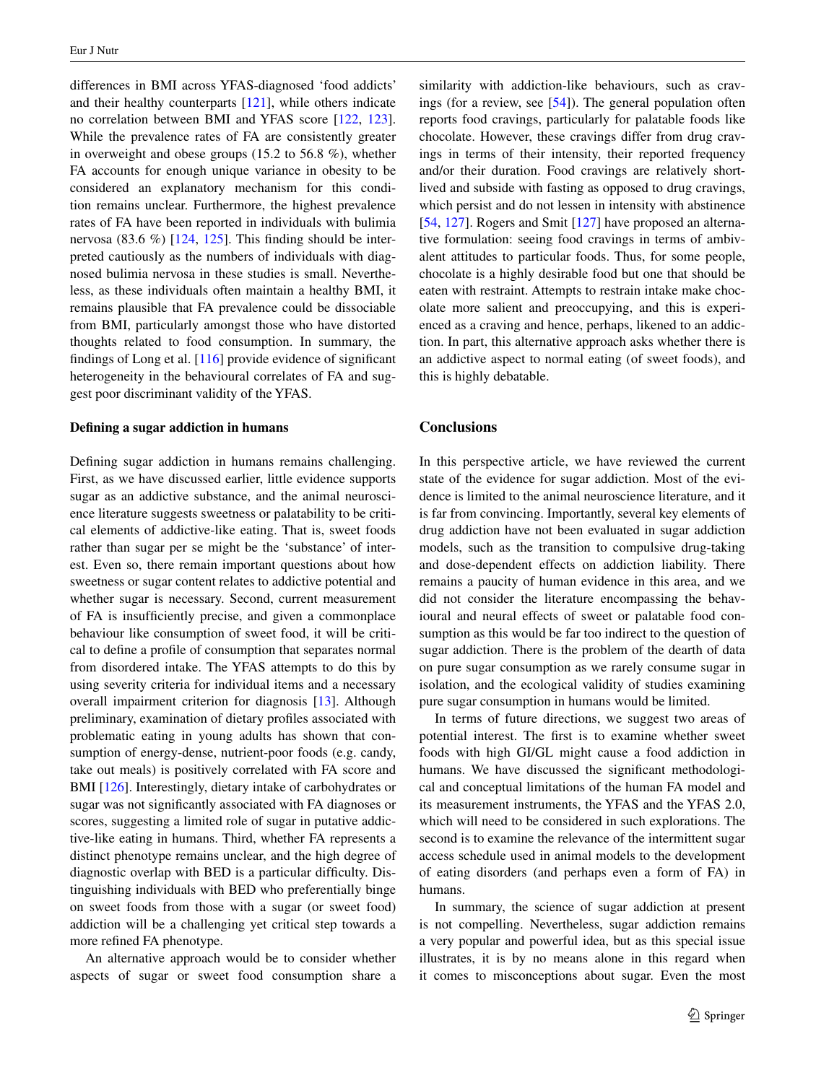differences in BMI across YFAS-diagnosed 'food addicts' and their healthy counterparts  $[121]$  $[121]$ , while others indicate no correlation between BMI and YFAS score [[122,](#page-14-25) [123](#page-14-26)]. While the prevalence rates of FA are consistently greater in overweight and obese groups (15.2 to 56.8 %), whether FA accounts for enough unique variance in obesity to be considered an explanatory mechanism for this condition remains unclear. Furthermore, the highest prevalence rates of FA have been reported in individuals with bulimia nervosa (83.6 %) [[124,](#page-14-27) [125](#page-14-28)]. This finding should be interpreted cautiously as the numbers of individuals with diagnosed bulimia nervosa in these studies is small. Nevertheless, as these individuals often maintain a healthy BMI, it remains plausible that FA prevalence could be dissociable from BMI, particularly amongst those who have distorted thoughts related to food consumption. In summary, the findings of Long et al. [\[116](#page-14-19)] provide evidence of significant heterogeneity in the behavioural correlates of FA and suggest poor discriminant validity of the YFAS.

### **Defining a sugar addiction in humans**

Defining sugar addiction in humans remains challenging. First, as we have discussed earlier, little evidence supports sugar as an addictive substance, and the animal neuroscience literature suggests sweetness or palatability to be critical elements of addictive-like eating. That is, sweet foods rather than sugar per se might be the 'substance' of interest. Even so, there remain important questions about how sweetness or sugar content relates to addictive potential and whether sugar is necessary. Second, current measurement of FA is insufficiently precise, and given a commonplace behaviour like consumption of sweet food, it will be critical to define a profile of consumption that separates normal from disordered intake. The YFAS attempts to do this by using severity criteria for individual items and a necessary overall impairment criterion for diagnosis [[13\]](#page-11-12). Although preliminary, examination of dietary profiles associated with problematic eating in young adults has shown that consumption of energy-dense, nutrient-poor foods (e.g. candy, take out meals) is positively correlated with FA score and BMI [[126\]](#page-14-29). Interestingly, dietary intake of carbohydrates or sugar was not significantly associated with FA diagnoses or scores, suggesting a limited role of sugar in putative addictive-like eating in humans. Third, whether FA represents a distinct phenotype remains unclear, and the high degree of diagnostic overlap with BED is a particular difficulty. Distinguishing individuals with BED who preferentially binge on sweet foods from those with a sugar (or sweet food) addiction will be a challenging yet critical step towards a more refined FA phenotype.

An alternative approach would be to consider whether aspects of sugar or sweet food consumption share a

similarity with addiction-like behaviours, such as cravings (for a review, see [[54\]](#page-12-30)). The general population often reports food cravings, particularly for palatable foods like chocolate. However, these cravings differ from drug cravings in terms of their intensity, their reported frequency and/or their duration. Food cravings are relatively shortlived and subside with fasting as opposed to drug cravings, which persist and do not lessen in intensity with abstinence [\[54](#page-12-30), [127\]](#page-14-30). Rogers and Smit [[127\]](#page-14-30) have proposed an alternative formulation: seeing food cravings in terms of ambivalent attitudes to particular foods. Thus, for some people, chocolate is a highly desirable food but one that should be eaten with restraint. Attempts to restrain intake make chocolate more salient and preoccupying, and this is experienced as a craving and hence, perhaps, likened to an addiction. In part, this alternative approach asks whether there is an addictive aspect to normal eating (of sweet foods), and this is highly debatable.

# **Conclusions**

In this perspective article, we have reviewed the current state of the evidence for sugar addiction. Most of the evidence is limited to the animal neuroscience literature, and it is far from convincing. Importantly, several key elements of drug addiction have not been evaluated in sugar addiction models, such as the transition to compulsive drug-taking and dose-dependent effects on addiction liability. There remains a paucity of human evidence in this area, and we did not consider the literature encompassing the behavioural and neural effects of sweet or palatable food consumption as this would be far too indirect to the question of sugar addiction. There is the problem of the dearth of data on pure sugar consumption as we rarely consume sugar in isolation, and the ecological validity of studies examining pure sugar consumption in humans would be limited.

In terms of future directions, we suggest two areas of potential interest. The first is to examine whether sweet foods with high GI/GL might cause a food addiction in humans. We have discussed the significant methodological and conceptual limitations of the human FA model and its measurement instruments, the YFAS and the YFAS 2.0, which will need to be considered in such explorations. The second is to examine the relevance of the intermittent sugar access schedule used in animal models to the development of eating disorders (and perhaps even a form of FA) in humans.

In summary, the science of sugar addiction at present is not compelling. Nevertheless, sugar addiction remains a very popular and powerful idea, but as this special issue illustrates, it is by no means alone in this regard when it comes to misconceptions about sugar. Even the most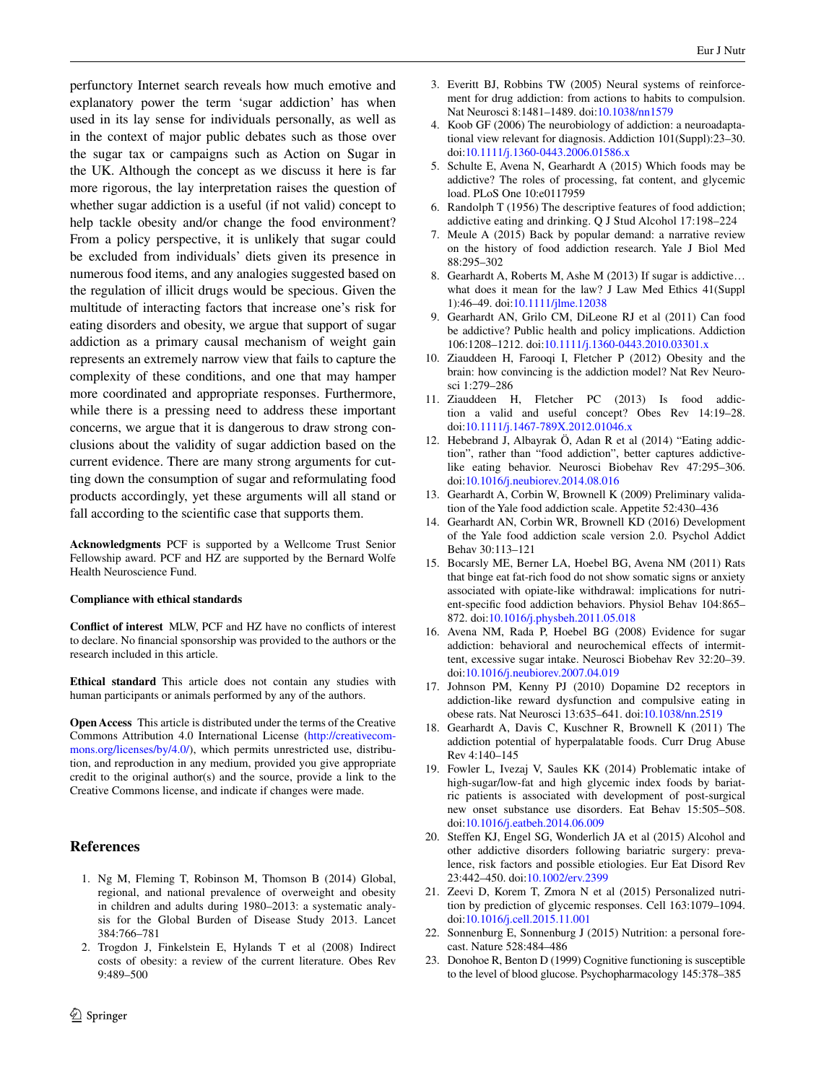perfunctory Internet search reveals how much emotive and explanatory power the term 'sugar addiction' has when used in its lay sense for individuals personally, as well as in the context of major public debates such as those over the sugar tax or campaigns such as Action on Sugar in the UK. Although the concept as we discuss it here is far more rigorous, the lay interpretation raises the question of whether sugar addiction is a useful (if not valid) concept to help tackle obesity and/or change the food environment? From a policy perspective, it is unlikely that sugar could be excluded from individuals' diets given its presence in numerous food items, and any analogies suggested based on the regulation of illicit drugs would be specious. Given the multitude of interacting factors that increase one's risk for eating disorders and obesity, we argue that support of sugar addiction as a primary causal mechanism of weight gain represents an extremely narrow view that fails to capture the complexity of these conditions, and one that may hamper more coordinated and appropriate responses. Furthermore, while there is a pressing need to address these important concerns, we argue that it is dangerous to draw strong conclusions about the validity of sugar addiction based on the current evidence. There are many strong arguments for cutting down the consumption of sugar and reformulating food products accordingly, yet these arguments will all stand or fall according to the scientific case that supports them.

**Acknowledgments** PCF is supported by a Wellcome Trust Senior Fellowship award. PCF and HZ are supported by the Bernard Wolfe Health Neuroscience Fund.

### **Compliance with ethical standards**

**Conflict of interest** MLW, PCF and HZ have no conflicts of interest to declare. No financial sponsorship was provided to the authors or the research included in this article.

**Ethical standard** This article does not contain any studies with human participants or animals performed by any of the authors.

**Open Access** This article is distributed under the terms of the Creative Commons Attribution 4.0 International License ([http://creativecom](http://creativecommons.org/licenses/by/4.0/)[mons.org/licenses/by/4.0/](http://creativecommons.org/licenses/by/4.0/)), which permits unrestricted use, distribution, and reproduction in any medium, provided you give appropriate credit to the original author(s) and the source, provide a link to the Creative Commons license, and indicate if changes were made.

# **References**

- <span id="page-11-0"></span>1. Ng M, Fleming T, Robinson M, Thomson B (2014) Global, regional, and national prevalence of overweight and obesity in children and adults during 1980–2013: a systematic analysis for the Global Burden of Disease Study 2013. Lancet 384:766–781
- <span id="page-11-1"></span>2. Trogdon J, Finkelstein E, Hylands T et al (2008) Indirect costs of obesity: a review of the current literature. Obes Rev 9:489–500
- <span id="page-11-2"></span>3. Everitt BJ, Robbins TW (2005) Neural systems of reinforcement for drug addiction: from actions to habits to compulsion. Nat Neurosci 8:1481–1489. doi[:10.1038/nn1579](http://dx.doi.org/10.1038/nn1579)
- <span id="page-11-3"></span>4. Koob GF (2006) The neurobiology of addiction: a neuroadaptational view relevant for diagnosis. Addiction 101(Suppl):23–30. doi:[10.1111/j.1360-0443.2006.01586.x](http://dx.doi.org/10.1111/j.1360-0443.2006.01586.x)
- <span id="page-11-4"></span>5. Schulte E, Avena N, Gearhardt A (2015) Which foods may be addictive? The roles of processing, fat content, and glycemic load. PLoS One 10:e0117959
- <span id="page-11-5"></span>6. Randolph T (1956) The descriptive features of food addiction; addictive eating and drinking. Q J Stud Alcohol 17:198–224
- <span id="page-11-6"></span>7. Meule A (2015) Back by popular demand: a narrative review on the history of food addiction research. Yale J Biol Med 88:295–302
- <span id="page-11-7"></span>8. Gearhardt A, Roberts M, Ashe M (2013) If sugar is addictive… what does it mean for the law? J Law Med Ethics 41(Suppl 1):46–49. doi:[10.1111/jlme.12038](http://dx.doi.org/10.1111/jlme.12038)
- <span id="page-11-8"></span>9. Gearhardt AN, Grilo CM, DiLeone RJ et al (2011) Can food be addictive? Public health and policy implications. Addiction 106:1208–1212. doi[:10.1111/j.1360-0443.2010.03301.x](http://dx.doi.org/10.1111/j.1360-0443.2010.03301.x)
- <span id="page-11-9"></span>10. Ziauddeen H, Farooqi I, Fletcher P (2012) Obesity and the brain: how convincing is the addiction model? Nat Rev Neurosci 1:279–286
- <span id="page-11-10"></span>11. Ziauddeen H, Fletcher PC (2013) Is food addiction a valid and useful concept? Obes Rev 14:19–28. doi:[10.1111/j.1467-789X.2012.01046.x](http://dx.doi.org/10.1111/j.1467-789X.2012.01046.x)
- <span id="page-11-11"></span>12. Hebebrand J, Albayrak Ö, Adan R et al (2014) "Eating addiction", rather than "food addiction", better captures addictivelike eating behavior. Neurosci Biobehav Rev 47:295–306. doi:[10.1016/j.neubiorev.2014.08.016](http://dx.doi.org/10.1016/j.neubiorev.2014.08.016)
- <span id="page-11-12"></span>13. Gearhardt A, Corbin W, Brownell K (2009) Preliminary validation of the Yale food addiction scale. Appetite 52:430–436
- <span id="page-11-13"></span>14. Gearhardt AN, Corbin WR, Brownell KD (2016) Development of the Yale food addiction scale version 2.0. Psychol Addict Behav 30:113–121
- <span id="page-11-14"></span>15. Bocarsly ME, Berner LA, Hoebel BG, Avena NM (2011) Rats that binge eat fat-rich food do not show somatic signs or anxiety associated with opiate-like withdrawal: implications for nutrient-specific food addiction behaviors. Physiol Behav 104:865– 872. doi:[10.1016/j.physbeh.2011.05.018](http://dx.doi.org/10.1016/j.physbeh.2011.05.018)
- <span id="page-11-15"></span>16. Avena NM, Rada P, Hoebel BG (2008) Evidence for sugar addiction: behavioral and neurochemical effects of intermittent, excessive sugar intake. Neurosci Biobehav Rev 32:20–39. doi:[10.1016/j.neubiorev.2007.04.019](http://dx.doi.org/10.1016/j.neubiorev.2007.04.019)
- <span id="page-11-16"></span>17. Johnson PM, Kenny PJ (2010) Dopamine D2 receptors in addiction-like reward dysfunction and compulsive eating in obese rats. Nat Neurosci 13:635–641. doi:[10.1038/nn.2519](http://dx.doi.org/10.1038/nn.2519)
- <span id="page-11-17"></span>18. Gearhardt A, Davis C, Kuschner R, Brownell K (2011) The addiction potential of hyperpalatable foods. Curr Drug Abuse Rev 4:140–145
- <span id="page-11-18"></span>19. Fowler L, Ivezaj V, Saules KK (2014) Problematic intake of high-sugar/low-fat and high glycemic index foods by bariatric patients is associated with development of post-surgical new onset substance use disorders. Eat Behav 15:505–508. doi:[10.1016/j.eatbeh.2014.06.009](http://dx.doi.org/10.1016/j.eatbeh.2014.06.009)
- <span id="page-11-19"></span>20. Steffen KJ, Engel SG, Wonderlich JA et al (2015) Alcohol and other addictive disorders following bariatric surgery: prevalence, risk factors and possible etiologies. Eur Eat Disord Rev 23:442–450. doi:[10.1002/erv.2399](http://dx.doi.org/10.1002/erv.2399)
- <span id="page-11-20"></span>21. Zeevi D, Korem T, Zmora N et al (2015) Personalized nutrition by prediction of glycemic responses. Cell 163:1079–1094. doi:[10.1016/j.cell.2015.11.001](http://dx.doi.org/10.1016/j.cell.2015.11.001)
- <span id="page-11-21"></span>22. Sonnenburg E, Sonnenburg J (2015) Nutrition: a personal forecast. Nature 528:484–486
- <span id="page-11-22"></span>23. Donohoe R, Benton D (1999) Cognitive functioning is susceptible to the level of blood glucose. Psychopharmacology 145:378–385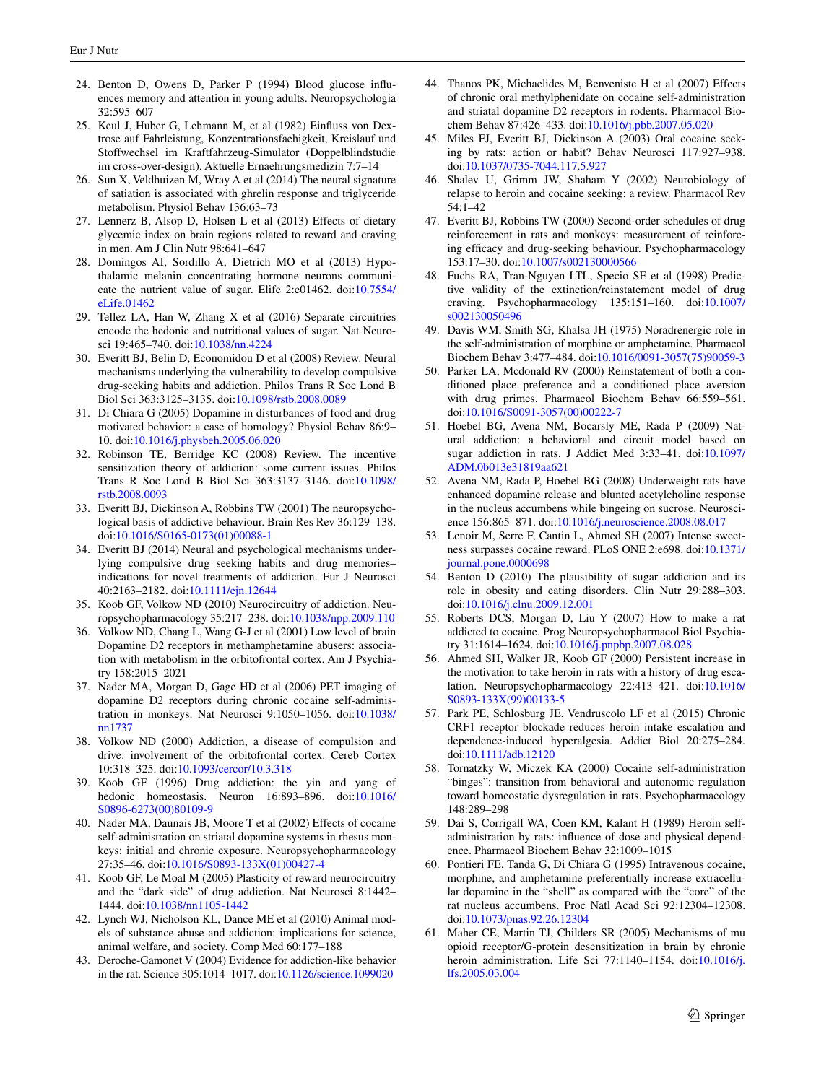- <span id="page-12-0"></span>24. Benton D, Owens D, Parker P (1994) Blood glucose influences memory and attention in young adults. Neuropsychologia 32:595–607
- <span id="page-12-1"></span>25. Keul J, Huber G, Lehmann M, et al (1982) Einfluss von Dextrose auf Fahrleistung, Konzentrationsfaehigkeit, Kreislauf und Stoffwechsel im Kraftfahrzeug-Simulator (Doppelblindstudie im cross-over-design). Aktuelle Ernaehrungsmedizin 7:7–14
- <span id="page-12-2"></span>26. Sun X, Veldhuizen M, Wray A et al (2014) The neural signature of satiation is associated with ghrelin response and triglyceride metabolism. Physiol Behav 136:63–73
- <span id="page-12-3"></span>27. Lennerz B, Alsop D, Holsen L et al (2013) Effects of dietary glycemic index on brain regions related to reward and craving in men. Am J Clin Nutr 98:641–647
- <span id="page-12-4"></span>28. Domingos AI, Sordillo A, Dietrich MO et al (2013) Hypothalamic melanin concentrating hormone neurons communicate the nutrient value of sugar. Elife 2:e01462. doi[:10.7554/](http://dx.doi.org/10.7554/eLife.01462) [eLife.01462](http://dx.doi.org/10.7554/eLife.01462)
- <span id="page-12-5"></span>29. Tellez LA, Han W, Zhang X et al (2016) Separate circuitries encode the hedonic and nutritional values of sugar. Nat Neurosci 19:465–740. doi[:10.1038/nn.4224](http://dx.doi.org/10.1038/nn.4224)
- <span id="page-12-6"></span>30. Everitt BJ, Belin D, Economidou D et al (2008) Review. Neural mechanisms underlying the vulnerability to develop compulsive drug-seeking habits and addiction. Philos Trans R Soc Lond B Biol Sci 363:3125–3135. doi[:10.1098/rstb.2008.0089](http://dx.doi.org/10.1098/rstb.2008.0089)
- <span id="page-12-7"></span>31. Di Chiara G (2005) Dopamine in disturbances of food and drug motivated behavior: a case of homology? Physiol Behav 86:9– 10. doi[:10.1016/j.physbeh.2005.06.020](http://dx.doi.org/10.1016/j.physbeh.2005.06.020)
- <span id="page-12-8"></span>32. Robinson TE, Berridge KC (2008) Review. The incentive sensitization theory of addiction: some current issues. Philos Trans R Soc Lond B Biol Sci 363:3137–3146. doi[:10.1098/](http://dx.doi.org/10.1098/rstb.2008.0093) [rstb.2008.0093](http://dx.doi.org/10.1098/rstb.2008.0093)
- <span id="page-12-9"></span>33. Everitt BJ, Dickinson A, Robbins TW (2001) The neuropsychological basis of addictive behaviour. Brain Res Rev 36:129–138. doi:[10.1016/S0165-0173\(01\)00088-1](http://dx.doi.org/10.1016/S0165-0173(01)00088-1)
- <span id="page-12-10"></span>34. Everitt BJ (2014) Neural and psychological mechanisms underlying compulsive drug seeking habits and drug memories– indications for novel treatments of addiction. Eur J Neurosci 40:2163–2182. doi[:10.1111/ejn.12644](http://dx.doi.org/10.1111/ejn.12644)
- <span id="page-12-11"></span>35. Koob GF, Volkow ND (2010) Neurocircuitry of addiction. Neuropsychopharmacology 35:217–238. doi:[10.1038/npp.2009.110](http://dx.doi.org/10.1038/npp.2009.110)
- <span id="page-12-12"></span>36. Volkow ND, Chang L, Wang G-J et al (2001) Low level of brain Dopamine D2 receptors in methamphetamine abusers: association with metabolism in the orbitofrontal cortex. Am J Psychiatry 158:2015–2021
- <span id="page-12-13"></span>37. Nader MA, Morgan D, Gage HD et al (2006) PET imaging of dopamine D2 receptors during chronic cocaine self-administration in monkeys. Nat Neurosci 9:1050–1056. doi[:10.1038/](http://dx.doi.org/10.1038/nn1737) [nn1737](http://dx.doi.org/10.1038/nn1737)
- <span id="page-12-14"></span>38. Volkow ND (2000) Addiction, a disease of compulsion and drive: involvement of the orbitofrontal cortex. Cereb Cortex 10:318–325. doi:[10.1093/cercor/10.3.318](http://dx.doi.org/10.1093/cercor/10.3.318)
- <span id="page-12-15"></span>39. Koob GF (1996) Drug addiction: the yin and yang of hedonic homeostasis. Neuron 16:893–896. doi[:10.1016/](http://dx.doi.org/10.1016/S0896-6273(00)80109-9) [S0896-6273\(00\)80109-9](http://dx.doi.org/10.1016/S0896-6273(00)80109-9)
- <span id="page-12-16"></span>40. Nader MA, Daunais JB, Moore T et al (2002) Effects of cocaine self-administration on striatal dopamine systems in rhesus monkeys: initial and chronic exposure. Neuropsychopharmacology 27:35–46. doi[:10.1016/S0893-133X\(01\)00427-4](http://dx.doi.org/10.1016/S0893-133X(01)00427-4)
- <span id="page-12-17"></span>41. Koob GF, Le Moal M (2005) Plasticity of reward neurocircuitry and the "dark side" of drug addiction. Nat Neurosci 8:1442– 1444. doi[:10.1038/nn1105-1442](http://dx.doi.org/10.1038/nn1105-1442)
- <span id="page-12-18"></span>42. Lynch WJ, Nicholson KL, Dance ME et al (2010) Animal models of substance abuse and addiction: implications for science, animal welfare, and society. Comp Med 60:177–188
- <span id="page-12-19"></span>43. Deroche-Gamonet V (2004) Evidence for addiction-like behavior in the rat. Science 305:1014–1017. doi[:10.1126/science.1099020](http://dx.doi.org/10.1126/science.1099020)
- <span id="page-12-20"></span>44. Thanos PK, Michaelides M, Benveniste H et al (2007) Effects of chronic oral methylphenidate on cocaine self-administration and striatal dopamine D2 receptors in rodents. Pharmacol Biochem Behav 87:426–433. doi:[10.1016/j.pbb.2007.05.020](http://dx.doi.org/10.1016/j.pbb.2007.05.020)
- <span id="page-12-21"></span>45. Miles FJ, Everitt BJ, Dickinson A (2003) Oral cocaine seeking by rats: action or habit? Behav Neurosci 117:927–938. doi:[10.1037/0735-7044.117.5.927](http://dx.doi.org/10.1037/0735-7044.117.5.927)
- <span id="page-12-22"></span>46. Shalev U, Grimm JW, Shaham Y (2002) Neurobiology of relapse to heroin and cocaine seeking: a review. Pharmacol Rev 54:1–42
- <span id="page-12-23"></span>47. Everitt BJ, Robbins TW (2000) Second-order schedules of drug reinforcement in rats and monkeys: measurement of reinforcing efficacy and drug-seeking behaviour. Psychopharmacology 153:17–30. doi[:10.1007/s002130000566](http://dx.doi.org/10.1007/s002130000566)
- <span id="page-12-24"></span>48. Fuchs RA, Tran-Nguyen LTL, Specio SE et al (1998) Predictive validity of the extinction/reinstatement model of drug craving. Psychopharmacology 135:151–160. doi[:10.1007/](http://dx.doi.org/10.1007/s002130050496) [s002130050496](http://dx.doi.org/10.1007/s002130050496)
- <span id="page-12-25"></span>49. Davis WM, Smith SG, Khalsa JH (1975) Noradrenergic role in the self-administration of morphine or amphetamine. Pharmacol Biochem Behav 3:477–484. doi:[10.1016/0091-3057\(75\)90059-3](http://dx.doi.org/10.1016/0091-3057(75)90059-3)
- <span id="page-12-26"></span>50. Parker LA, Mcdonald RV (2000) Reinstatement of both a conditioned place preference and a conditioned place aversion with drug primes. Pharmacol Biochem Behav 66:559–561. doi:[10.1016/S0091-3057\(00\)00222-7](http://dx.doi.org/10.1016/S0091-3057(00)00222-7)
- <span id="page-12-27"></span>51. Hoebel BG, Avena NM, Bocarsly ME, Rada P (2009) Natural addiction: a behavioral and circuit model based on sugar addiction in rats. J Addict Med 3:33–41. doi[:10.1097/](http://dx.doi.org/10.1097/ADM.0b013e31819aa621) [ADM.0b013e31819aa621](http://dx.doi.org/10.1097/ADM.0b013e31819aa621)
- <span id="page-12-28"></span>52. Avena NM, Rada P, Hoebel BG (2008) Underweight rats have enhanced dopamine release and blunted acetylcholine response in the nucleus accumbens while bingeing on sucrose. Neuroscience 156:865–871. doi:[10.1016/j.neuroscience.2008.08.017](http://dx.doi.org/10.1016/j.neuroscience.2008.08.017)
- <span id="page-12-29"></span>53. Lenoir M, Serre F, Cantin L, Ahmed SH (2007) Intense sweetness surpasses cocaine reward. PLoS ONE 2:e698. doi[:10.1371/](http://dx.doi.org/10.1371/journal.pone.0000698) [journal.pone.0000698](http://dx.doi.org/10.1371/journal.pone.0000698)
- <span id="page-12-30"></span>54. Benton D (2010) The plausibility of sugar addiction and its role in obesity and eating disorders. Clin Nutr 29:288–303. doi:[10.1016/j.clnu.2009.12.001](http://dx.doi.org/10.1016/j.clnu.2009.12.001)
- <span id="page-12-31"></span>55. Roberts DCS, Morgan D, Liu Y (2007) How to make a rat addicted to cocaine. Prog Neuropsychopharmacol Biol Psychiatry 31:1614–1624. doi:[10.1016/j.pnpbp.2007.08.028](http://dx.doi.org/10.1016/j.pnpbp.2007.08.028)
- 56. Ahmed SH, Walker JR, Koob GF (2000) Persistent increase in the motivation to take heroin in rats with a history of drug escalation. Neuropsychopharmacology 22:413–421. doi[:10.1016/](http://dx.doi.org/10.1016/S0893-133X(99)00133-5) [S0893-133X\(99\)00133-5](http://dx.doi.org/10.1016/S0893-133X(99)00133-5)
- <span id="page-12-32"></span>57. Park PE, Schlosburg JE, Vendruscolo LF et al (2015) Chronic CRF1 receptor blockade reduces heroin intake escalation and dependence-induced hyperalgesia. Addict Biol 20:275–284. doi:[10.1111/adb.12120](http://dx.doi.org/10.1111/adb.12120)
- <span id="page-12-33"></span>58. Tornatzky W, Miczek KA (2000) Cocaine self-administration "binges": transition from behavioral and autonomic regulation toward homeostatic dysregulation in rats. Psychopharmacology 148:289–298
- <span id="page-12-34"></span>59. Dai S, Corrigall WA, Coen KM, Kalant H (1989) Heroin selfadministration by rats: influence of dose and physical dependence. Pharmacol Biochem Behav 32:1009–1015
- <span id="page-12-35"></span>60. Pontieri FE, Tanda G, Di Chiara G (1995) Intravenous cocaine, morphine, and amphetamine preferentially increase extracellular dopamine in the "shell" as compared with the "core" of the rat nucleus accumbens. Proc Natl Acad Sci 92:12304–12308. doi:[10.1073/pnas.92.26.12304](http://dx.doi.org/10.1073/pnas.92.26.12304)
- <span id="page-12-36"></span>61. Maher CE, Martin TJ, Childers SR (2005) Mechanisms of mu opioid receptor/G-protein desensitization in brain by chronic heroin administration. Life Sci 77:1140–1154. doi:[10.1016/j.](http://dx.doi.org/10.1016/j.lfs.2005.03.004) [lfs.2005.03.004](http://dx.doi.org/10.1016/j.lfs.2005.03.004)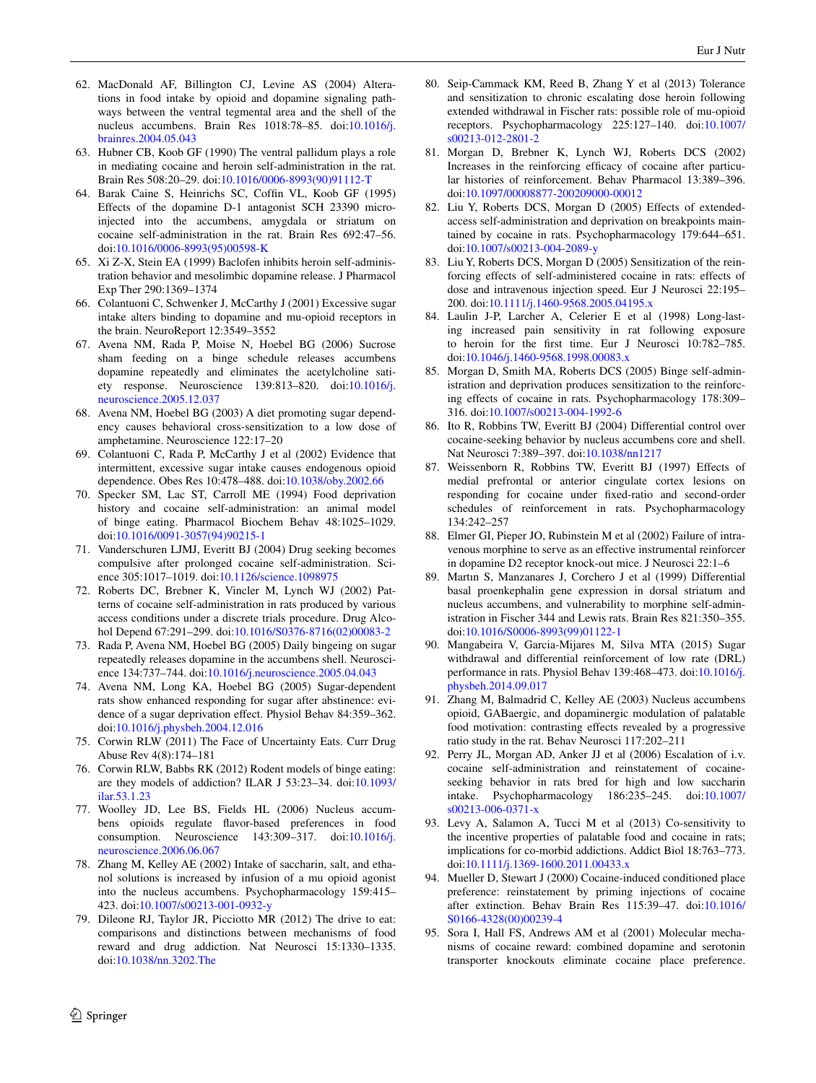- <span id="page-13-0"></span>62. MacDonald AF, Billington CJ, Levine AS (2004) Alterations in food intake by opioid and dopamine signaling pathways between the ventral tegmental area and the shell of the nucleus accumbens. Brain Res 1018:78–85. doi:[10.1016/j.](http://dx.doi.org/10.1016/j.brainres.2004.05.043) [brainres.2004.05.043](http://dx.doi.org/10.1016/j.brainres.2004.05.043)
- <span id="page-13-1"></span>63. Hubner CB, Koob GF (1990) The ventral pallidum plays a role in mediating cocaine and heroin self-administration in the rat. Brain Res 508:20–29. doi[:10.1016/0006-8993\(90\)91112-T](http://dx.doi.org/10.1016/0006-8993(90)91112-T)
- <span id="page-13-2"></span>64. Barak Caine S, Heinrichs SC, Coffin VL, Koob GF (1995) Effects of the dopamine D-1 antagonist SCH 23390 microinjected into the accumbens, amygdala or striatum on cocaine self-administration in the rat. Brain Res 692:47–56. doi:[10.1016/0006-8993\(95\)00598-K](http://dx.doi.org/10.1016/0006-8993(95)00598-K)
- <span id="page-13-3"></span>65. Xi Z-X, Stein EA (1999) Baclofen inhibits heroin self-administration behavior and mesolimbic dopamine release. J Pharmacol Exp Ther 290:1369–1374
- <span id="page-13-4"></span>66. Colantuoni C, Schwenker J, McCarthy J (2001) Excessive sugar intake alters binding to dopamine and mu-opioid receptors in the brain. NeuroReport 12:3549–3552
- <span id="page-13-5"></span>67. Avena NM, Rada P, Moise N, Hoebel BG (2006) Sucrose sham feeding on a binge schedule releases accumbens dopamine repeatedly and eliminates the acetylcholine satiety response. Neuroscience 139:813–820. doi:[10.1016/j.](http://dx.doi.org/10.1016/j.neuroscience.2005.12.037) [neuroscience.2005.12.037](http://dx.doi.org/10.1016/j.neuroscience.2005.12.037)
- <span id="page-13-6"></span>68. Avena NM, Hoebel BG (2003) A diet promoting sugar dependency causes behavioral cross-sensitization to a low dose of amphetamine. Neuroscience 122:17–20
- <span id="page-13-7"></span>69. Colantuoni C, Rada P, McCarthy J et al (2002) Evidence that intermittent, excessive sugar intake causes endogenous opioid dependence. Obes Res 10:478–488. doi[:10.1038/oby.2002.66](http://dx.doi.org/10.1038/oby.2002.66)
- <span id="page-13-8"></span>70. Specker SM, Lac ST, Carroll ME (1994) Food deprivation history and cocaine self-administration: an animal model of binge eating. Pharmacol Biochem Behav 48:1025–1029. doi:[10.1016/0091-3057\(94\)90215-1](http://dx.doi.org/10.1016/0091-3057(94)90215-1)
- <span id="page-13-9"></span>71. Vanderschuren LJMJ, Everitt BJ (2004) Drug seeking becomes compulsive after prolonged cocaine self-administration. Science 305:1017–1019. doi[:10.1126/science.1098975](http://dx.doi.org/10.1126/science.1098975)
- <span id="page-13-10"></span>72. Roberts DC, Brebner K, Vincler M, Lynch WJ (2002) Patterns of cocaine self-administration in rats produced by various access conditions under a discrete trials procedure. Drug Alco-hol Depend 67:291-299. doi[:10.1016/S0376-8716\(02\)00083-2](http://dx.doi.org/10.1016/S0376-8716(02)00083-2)
- <span id="page-13-11"></span>73. Rada P, Avena NM, Hoebel BG (2005) Daily bingeing on sugar repeatedly releases dopamine in the accumbens shell. Neuroscience 134:737–744. doi:[10.1016/j.neuroscience.2005.04.043](http://dx.doi.org/10.1016/j.neuroscience.2005.04.043)
- <span id="page-13-12"></span>74. Avena NM, Long KA, Hoebel BG (2005) Sugar-dependent rats show enhanced responding for sugar after abstinence: evidence of a sugar deprivation effect. Physiol Behav 84:359–362. doi:[10.1016/j.physbeh.2004.12.016](http://dx.doi.org/10.1016/j.physbeh.2004.12.016)
- <span id="page-13-13"></span>75. Corwin RLW (2011) The Face of Uncertainty Eats. Curr Drug Abuse Rev 4(8):174–181
- <span id="page-13-14"></span>76. Corwin RLW, Babbs RK (2012) Rodent models of binge eating: are they models of addiction? ILAR J 53:23–34. doi[:10.1093/](http://dx.doi.org/10.1093/ilar.53.1.23) [ilar.53.1.23](http://dx.doi.org/10.1093/ilar.53.1.23)
- <span id="page-13-15"></span>77. Woolley JD, Lee BS, Fields HL (2006) Nucleus accumbens opioids regulate flavor-based preferences in food consumption. Neuroscience 143:309–317. doi:[10.1016/j.](http://dx.doi.org/10.1016/j.neuroscience.2006.06.067) [neuroscience.2006.06.067](http://dx.doi.org/10.1016/j.neuroscience.2006.06.067)
- <span id="page-13-16"></span>78. Zhang M, Kelley AE (2002) Intake of saccharin, salt, and ethanol solutions is increased by infusion of a mu opioid agonist into the nucleus accumbens. Psychopharmacology 159:415– 423. doi:[10.1007/s00213-001-0932-y](http://dx.doi.org/10.1007/s00213-001-0932-y)
- <span id="page-13-17"></span>79. Dileone RJ, Taylor JR, Picciotto MR (2012) The drive to eat: comparisons and distinctions between mechanisms of food reward and drug addiction. Nat Neurosci 15:1330–1335. doi:[10.1038/nn.3202.The](http://dx.doi.org/10.1038/nn.3202.The)
- <span id="page-13-18"></span>80. Seip-Cammack KM, Reed B, Zhang Y et al (2013) Tolerance and sensitization to chronic escalating dose heroin following extended withdrawal in Fischer rats: possible role of mu-opioid receptors. Psychopharmacology 225:127–140. doi[:10.1007/](http://dx.doi.org/10.1007/s00213-012-2801-2) [s00213-012-2801-2](http://dx.doi.org/10.1007/s00213-012-2801-2)
- <span id="page-13-19"></span>81. Morgan D, Brebner K, Lynch WJ, Roberts DCS (2002) Increases in the reinforcing efficacy of cocaine after particular histories of reinforcement. Behav Pharmacol 13:389–396. doi:[10.1097/00008877-200209000-00012](http://dx.doi.org/10.1097/00008877-200209000-00012)
- <span id="page-13-20"></span>82. Liu Y, Roberts DCS, Morgan D (2005) Effects of extendedaccess self-administration and deprivation on breakpoints maintained by cocaine in rats. Psychopharmacology 179:644–651. doi:[10.1007/s00213-004-2089-y](http://dx.doi.org/10.1007/s00213-004-2089-y)
- <span id="page-13-21"></span>83. Liu Y, Roberts DCS, Morgan D (2005) Sensitization of the reinforcing effects of self-administered cocaine in rats: effects of dose and intravenous injection speed. Eur J Neurosci 22:195– 200. doi:[10.1111/j.1460-9568.2005.04195.x](http://dx.doi.org/10.1111/j.1460-9568.2005.04195.x)
- <span id="page-13-22"></span>84. Laulin J-P, Larcher A, Celerier E et al (1998) Long-lasting increased pain sensitivity in rat following exposure to heroin for the first time. Eur J Neurosci 10:782–785. doi:[10.1046/j.1460-9568.1998.00083.x](http://dx.doi.org/10.1046/j.1460-9568.1998.00083.x)
- <span id="page-13-23"></span>85. Morgan D, Smith MA, Roberts DCS (2005) Binge self-administration and deprivation produces sensitization to the reinforcing effects of cocaine in rats. Psychopharmacology 178:309– 316. doi:[10.1007/s00213-004-1992-6](http://dx.doi.org/10.1007/s00213-004-1992-6)
- <span id="page-13-24"></span>86. Ito R, Robbins TW, Everitt BJ (2004) Differential control over cocaine-seeking behavior by nucleus accumbens core and shell. Nat Neurosci 7:389–397. doi:[10.1038/nn1217](http://dx.doi.org/10.1038/nn1217)
- <span id="page-13-25"></span>87. Weissenborn R, Robbins TW, Everitt BJ (1997) Effects of medial prefrontal or anterior cingulate cortex lesions on responding for cocaine under fixed-ratio and second-order schedules of reinforcement in rats. Psychopharmacology 134:242–257
- <span id="page-13-26"></span>88. Elmer GI, Pieper JO, Rubinstein M et al (2002) Failure of intravenous morphine to serve as an effective instrumental reinforcer in dopamine D2 receptor knock-out mice. J Neurosci 22:1–6
- <span id="page-13-27"></span>89. Martın S, Manzanares J, Corchero J et al (1999) Differential basal proenkephalin gene expression in dorsal striatum and nucleus accumbens, and vulnerability to morphine self-administration in Fischer 344 and Lewis rats. Brain Res 821:350–355. doi:[10.1016/S0006-8993\(99\)01122-1](http://dx.doi.org/10.1016/S0006-8993(99)01122-1)
- <span id="page-13-28"></span>90. Mangabeira V, Garcia-Mijares M, Silva MTA (2015) Sugar withdrawal and differential reinforcement of low rate (DRL) performance in rats. Physiol Behav 139:468–473. doi:[10.1016/j.](http://dx.doi.org/10.1016/j.physbeh.2014.09.017) [physbeh.2014.09.017](http://dx.doi.org/10.1016/j.physbeh.2014.09.017)
- <span id="page-13-29"></span>91. Zhang M, Balmadrid C, Kelley AE (2003) Nucleus accumbens opioid, GABaergic, and dopaminergic modulation of palatable food motivation: contrasting effects revealed by a progressive ratio study in the rat. Behav Neurosci 117:202–211
- <span id="page-13-30"></span>92. Perry JL, Morgan AD, Anker JJ et al (2006) Escalation of i.v. cocaine self-administration and reinstatement of cocaineseeking behavior in rats bred for high and low saccharin intake. Psychopharmacology 186:235–245. doi[:10.1007/](http://dx.doi.org/10.1007/s00213-006-0371-x) [s00213-006-0371-x](http://dx.doi.org/10.1007/s00213-006-0371-x)
- <span id="page-13-31"></span>93. Levy A, Salamon A, Tucci M et al (2013) Co-sensitivity to the incentive properties of palatable food and cocaine in rats; implications for co-morbid addictions. Addict Biol 18:763–773. doi:[10.1111/j.1369-1600.2011.00433.x](http://dx.doi.org/10.1111/j.1369-1600.2011.00433.x)
- <span id="page-13-32"></span>94. Mueller D, Stewart J (2000) Cocaine-induced conditioned place preference: reinstatement by priming injections of cocaine after extinction. Behav Brain Res 115:39–47. doi[:10.1016/](http://dx.doi.org/10.1016/S0166-4328(00)00239-4) [S0166-4328\(00\)00239-4](http://dx.doi.org/10.1016/S0166-4328(00)00239-4)
- <span id="page-13-33"></span>95. Sora I, Hall FS, Andrews AM et al (2001) Molecular mechanisms of cocaine reward: combined dopamine and serotonin transporter knockouts eliminate cocaine place preference.